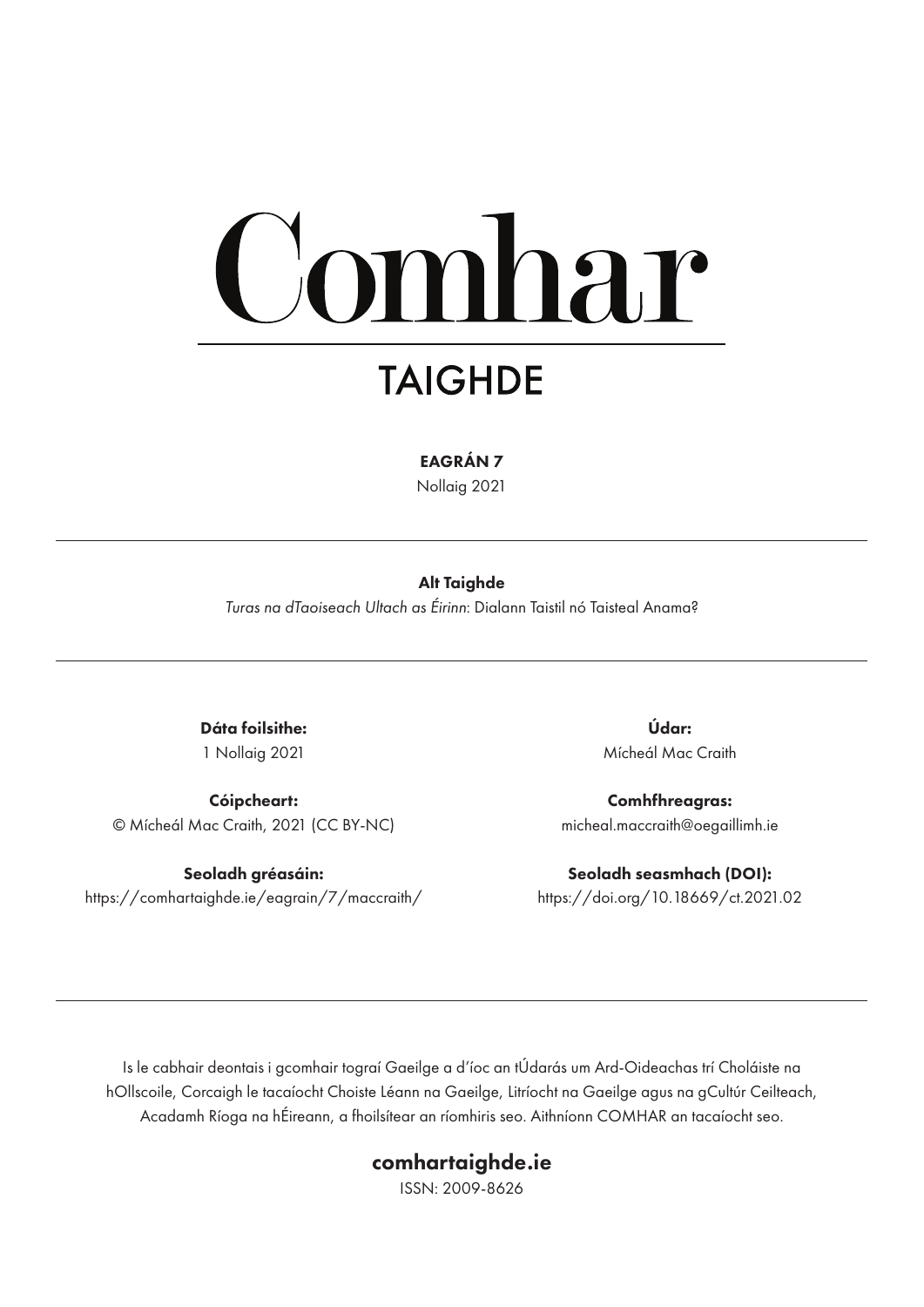# mhar

# **TAIGHDE**

EAGRÁN 7

Nollaig 2021

#### Alt Taighde

*Turas na dTaoiseach Ultach as Éirinn*: Dialann Taistil nó Taisteal Anama?

Dáta foilsithe: 1 Nollaig 2021

Cóipcheart: © Mícheál Mac Craith, 2021 (CC BY-NC)

Seoladh gréasáin: https://comhartaighde.ie/eagrain/7/maccraith/

Údar: Mícheál Mac Craith

Comhfhreagras: micheal.maccraith@oegaillimh.ie

Seoladh seasmhach (DOI): https://doi.org/10.18669/ct.2021.02

Is le cabhair deontais i gcomhair tograí Gaeilge a d'íoc an tÚdarás um Ard-Oideachas trí Choláiste na hOllscoile, Corcaigh le tacaíocht Choiste Léann na Gaeilge, Litríocht na Gaeilge agus na gCultúr Ceilteach, Acadamh Ríoga na hÉireann, a fhoilsítear an ríomhiris seo. Aithníonn COMHAR an tacaíocht seo.

### comhartaighde.ie

ISSN: 2009-8626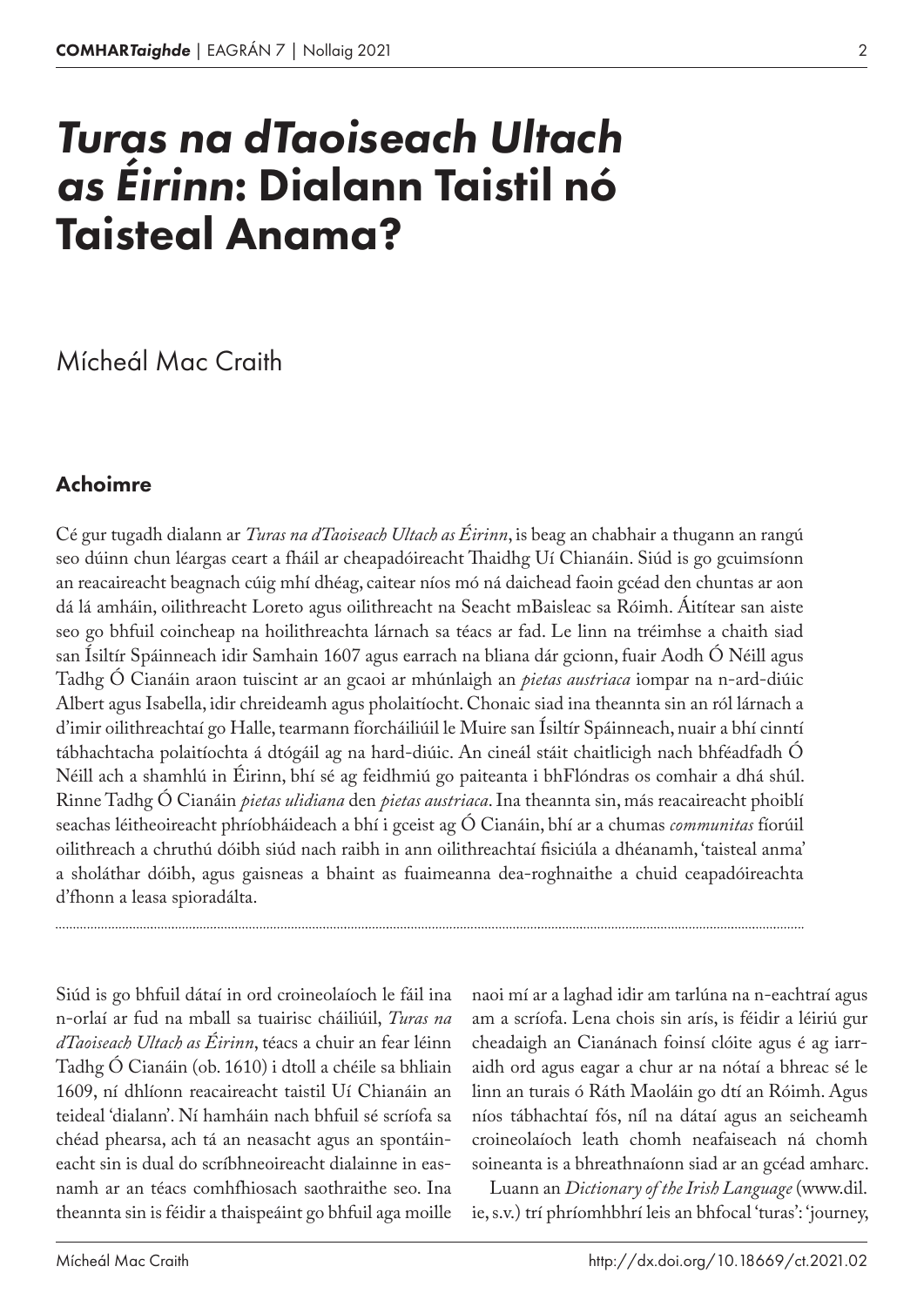# *Turas na dTaoiseach Ultach as Éirinn*: Dialann Taistil nó Taisteal Anama?

## Mícheál Mac Craith

## Achoimre

Cé gur tugadh dialann ar *Turas na dTaoiseach Ultach as Éirinn*, is beag an chabhair a thugann an rangú seo dúinn chun léargas ceart a fháil ar cheapadóireacht Thaidhg Uí Chianáin. Siúd is go gcuimsíonn an reacaireacht beagnach cúig mhí dhéag, caitear níos mó ná daichead faoin gcéad den chuntas ar aon dá lá amháin, oilithreacht Loreto agus oilithreacht na Seacht mBaisleac sa Róimh. Áitítear san aiste seo go bhfuil coincheap na hoilithreachta lárnach sa téacs ar fad. Le linn na tréimhse a chaith siad san Ísiltír Spáinneach idir Samhain 1607 agus earrach na bliana dár gcionn, fuair Aodh Ó Néill agus Tadhg Ó Cianáin araon tuiscint ar an gcaoi ar mhúnlaigh an *pietas austriaca* iompar na n‑ard-diúic Albert agus Isabella, idir chreideamh agus pholaitíocht. Chonaic siad ina theannta sin an ról lárnach a d'imir oilithreachtaí go Halle, tearmann fíorcháiliúil le Muire san Ísiltír Spáinneach, nuair a bhí cinntí tábhachtacha polaitíochta á dtógáil ag na hard-diúic. An cineál stáit chaitlicigh nach bhféadfadh Ó Néill ach a shamhlú in Éirinn, bhí sé ag feidhmiú go paiteanta i bhFlóndras os comhair a dhá shúl. Rinne Tadhg Ó Cianáin *pietas ulidiana* den *pietas austriaca*. Ina theannta sin, más reacaireacht phoiblí seachas léitheoireacht phríobháideach a bhí i gceist ag Ó Cianáin, bhí ar a chumas *communitas* fíorúil oilithreach a chruthú dóibh siúd nach raibh in ann oilithreachtaí fisiciúla a dhéanamh, 'taisteal anma' a sholáthar dóibh, agus gaisneas a bhaint as fuaimeanna dea-roghnaithe a chuid ceapadóireachta d'fhonn a leasa spioradálta.

Siúd is go bhfuil dátaí in ord croineolaíoch le fáil ina n‑orlaí ar fud na mball sa tuairisc cháiliúil, *Turas na dTaoiseach Ultach as Éirinn*, téacs a chuir an fear léinn Tadhg Ó Cianáin (ob. 1610) i dtoll a chéile sa bhliain 1609, ní dhlíonn reacaireacht taistil Uí Chianáin an teideal 'dialann'. Ní hamháin nach bhfuil sé scríofa sa chéad phearsa, ach tá an neasacht agus an spontáineacht sin is dual do scríbhneoireacht dialainne in easnamh ar an téacs comhfhiosach saothraithe seo. Ina theannta sin is féidir a thaispeáint go bhfuil aga moille

naoi mí ar a laghad idir am tarlúna na n‑eachtraí agus am a scríofa. Lena chois sin arís, is féidir a léiriú gur cheadaigh an Cianánach foinsí clóite agus é ag iarraidh ord agus eagar a chur ar na nótaí a bhreac sé le linn an turais ó Ráth Maoláin go dtí an Róimh. Agus níos tábhachtaí fós, níl na dátaí agus an seicheamh croineolaíoch leath chomh neafaiseach ná chomh soineanta is a bhreathnaíonn siad ar an gcéad amharc.

Luann an *Dictionary of the Irish Language* (www.dil. ie, s.v.) trí phríomhbhrí leis an bhfocal 'turas': 'journey,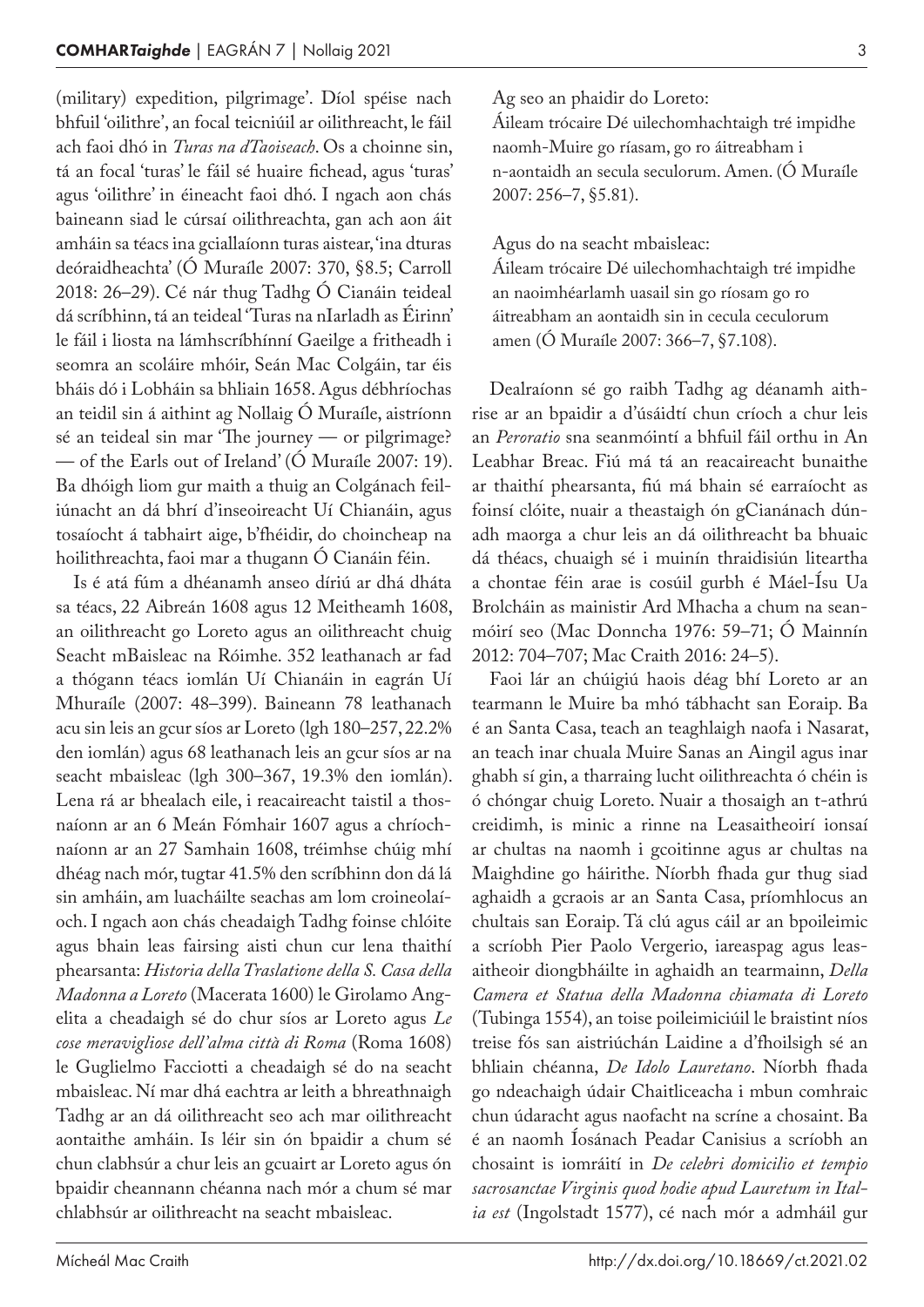(military) expedition, pilgrimage'. Díol spéise nach bhfuil 'oilithre', an focal teicniúil ar oilithreacht, le fáil ach faoi dhó in *Turas na dTaoiseach*. Os a choinne sin, tá an focal 'turas' le fáil sé huaire fichead, agus 'turas' agus 'oilithre' in éineacht faoi dhó. I ngach aon chás baineann siad le cúrsaí oilithreachta, gan ach aon áit amháin sa téacs ina gciallaíonn turas aistear, 'ina dturas deóraidheachta' (Ó Muraíle 2007: 370, §8.5; Carroll 2018: 26–29). Cé nár thug Tadhg Ó Cianáin teideal dá scríbhinn, tá an teideal 'Turas na nIarladh as Éirinn' le fáil i liosta na lámhscríbhínní Gaeilge a fritheadh i seomra an scoláire mhóir, Seán Mac Colgáin, tar éis bháis dó i Lobháin sa bhliain 1658. Agus débhríochas an teidil sin á aithint ag Nollaig Ó Muraíle, aistríonn sé an teideal sin mar 'The journey — or pilgrimage? — of the Earls out of Ireland' (Ó Muraíle 2007: 19). Ba dhóigh liom gur maith a thuig an Colgánach feiliúnacht an dá bhrí d'inseoireacht Uí Chianáin, agus tosaíocht á tabhairt aige, b'fhéidir, do choincheap na hoilithreachta, faoi mar a thugann Ó Cianáin féin.

Is é atá fúm a dhéanamh anseo díriú ar dhá dháta sa téacs, 22 Aibreán 1608 agus 12 Meitheamh 1608, an oilithreacht go Loreto agus an oilithreacht chuig Seacht mBaisleac na Róimhe. 352 leathanach ar fad a thógann téacs iomlán Uí Chianáin in eagrán Uí Mhuraíle (2007: 48–399). Baineann 78 leathanach acu sin leis an gcur síos ar Loreto (lgh 180–257, 22.2% den iomlán) agus 68 leathanach leis an gcur síos ar na seacht mbaisleac (lgh 300–367, 19.3% den iomlán). Lena rá ar bhealach eile, i reacaireacht taistil a thosnaíonn ar an 6 Meán Fómhair 1607 agus a chríochnaíonn ar an 27 Samhain 1608, tréimhse chúig mhí dhéag nach mór, tugtar 41.5% den scríbhinn don dá lá sin amháin, am luacháilte seachas am lom croineolaíoch. I ngach aon chás cheadaigh Tadhg foinse chlóite agus bhain leas fairsing aisti chun cur lena thaithí phearsanta: *Historia della Traslatione della S. Casa della Madonna a Loreto* (Macerata 1600) le Girolamo Ang‑ elita a cheadaigh sé do chur síos ar Loreto agus *Le cose meravigliose dell'alma città di Roma* (Roma 1608) le Guglielmo Facciotti a cheadaigh sé do na seacht mbaisleac. Ní mar dhá eachtra ar leith a bhreathnaigh Tadhg ar an dá oilithreacht seo ach mar oilithreacht aontaithe amháin. Is léir sin ón bpaidir a chum sé chun clabhsúr a chur leis an gcuairt ar Loreto agus ón bpaidir cheannann chéanna nach mór a chum sé mar chlabhsúr ar oilithreacht na seacht mbaisleac.

Ag seo an phaidir do Loreto:

Áileam trócaire Dé uilechomhachtaigh tré impidhe naomh-Muire go ríasam, go ro áitreabham i n‑aontaidh an secula seculorum. Amen. (Ó Muraíle 2007: 256–7, §5.81).

Agus do na seacht mbaisleac:

Áileam trócaire Dé uilechomhachtaigh tré impidhe an naoimhéarlamh uasail sin go ríosam go ro áitreabham an aontaidh sin in cecula ceculorum amen (Ó Muraíle 2007: 366–7, §7.108).

Dealraíonn sé go raibh Tadhg ag déanamh aithrise ar an bpaidir a d'úsáidtí chun críoch a chur leis an *Peroratio* sna seanmóintí a bhfuil fáil orthu in An Leabhar Breac. Fiú má tá an reacaireacht bunaithe ar thaithí phearsanta, fiú má bhain sé earraíocht as foinsí clóite, nuair a theastaigh ón gCianánach dúnadh maorga a chur leis an dá oilithreacht ba bhuaic dá théacs, chuaigh sé i muinín thraidisiún liteartha a chontae féin arae is cosúil gurbh é Máel-Ísu Ua Brolcháin as mainistir Ard Mhacha a chum na seanmóirí seo (Mac Donncha 1976: 59–71; Ó Mainnín 2012: 704–707; Mac Craith 2016: 24–5).

Faoi lár an chúigiú haois déag bhí Loreto ar an tearmann le Muire ba mhó tábhacht san Eoraip. Ba é an Santa Casa, teach an teaghlaigh naofa i Nasarat, an teach inar chuala Muire Sanas an Aingil agus inar ghabh sí gin, a tharraing lucht oilithreachta ó chéin is ó chóngar chuig Loreto. Nuair a thosaigh an t‑athrú creidimh, is minic a rinne na Leasaitheoirí ionsaí ar chultas na naomh i gcoitinne agus ar chultas na Maighdine go háirithe. Níorbh fhada gur thug siad aghaidh a gcraois ar an Santa Casa, príomhlocus an chultais san Eoraip. Tá clú agus cáil ar an bpoileimic a scríobh Pier Paolo Vergerio, iareaspag agus leasaitheoir diongbháilte in aghaidh an tearmainn, *Della Camera et Statua della Madonna chiamata di Loreto* (Tubinga 1554), an toise poileimiciúil le braistint níos treise fós san aistriúchán Laidine a d'fhoilsigh sé an bhliain chéanna, *De Idolo Lauretano*. Níorbh fhada go ndeachaigh údair Chaitliceacha i mbun comhraic chun údaracht agus naofacht na scríne a chosaint. Ba é an naomh Íosánach Peadar Canisius a scríobh an chosaint is iomráití in *De celebri domicilio et tempio sacrosanctae Virginis quod hodie apud Lauretum in Ital‑ ia est* (Ingolstadt 1577), cé nach mór a admháil gur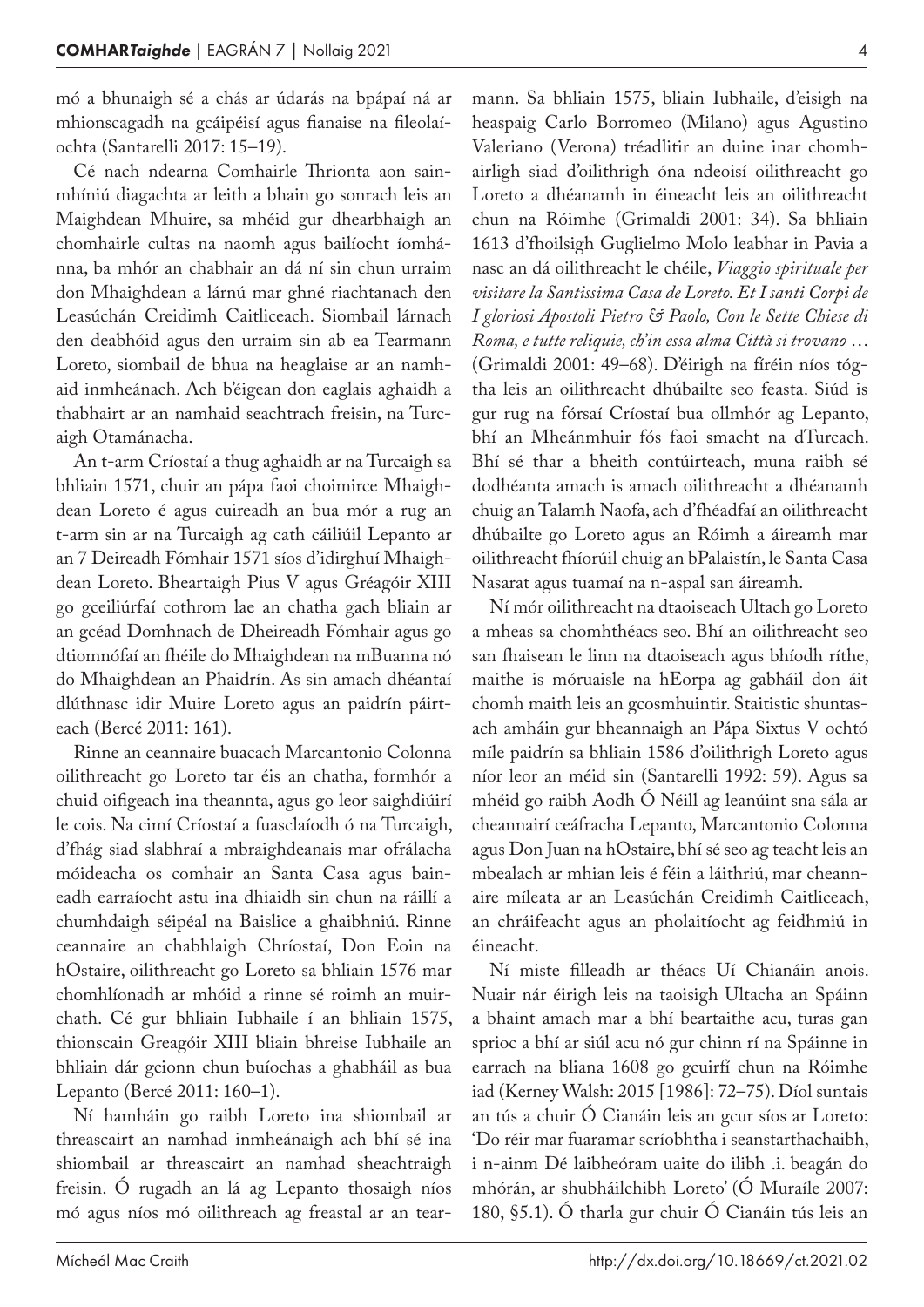mó a bhunaigh sé a chás ar údarás na bpápaí ná ar mhionscagadh na gcáipéisí agus fianaise na fileolaíochta (Santarelli 2017: 15–19).

Cé nach ndearna Comhairle Thrionta aon sain‑ mhíniú diagachta ar leith a bhain go sonrach leis an Maighdean Mhuire, sa mhéid gur dhearbhaigh an chomhairle cultas na naomh agus bailíocht íomhá‑ nna, ba mhór an chabhair an dá ní sin chun urraim don Mhaighdean a lárnú mar ghné riachtanach den Leasúchán Creidimh Caitliceach. Siombail lárnach den deabhóid agus den urraim sin ab ea Tearmann Loreto, siombail de bhua na heaglaise ar an namhaid inmheánach. Ach b'éigean don eaglais aghaidh a thabhairt ar an namhaid seachtrach freisin, na Turcaigh Otamánacha.

An t‑arm Críostaí a thug aghaidh ar na Turcaigh sa bhliain 1571, chuir an pápa faoi choimirce Mhaighdean Loreto é agus cuireadh an bua mór a rug an t‑arm sin ar na Turcaigh ag cath cáiliúil Lepanto ar an 7 Deireadh Fómhair 1571 síos d'idirghuí Mhaighdean Loreto. Bheartaigh Pius V agus Gréagóir XIII go gceiliúrfaí cothrom lae an chatha gach bliain ar an gcéad Domhnach de Dheireadh Fómhair agus go dtiomnófaí an fhéile do Mhaighdean na mBuanna nó do Mhaighdean an Phaidrín. As sin amach dhéantaí dlúthnasc idir Muire Loreto agus an paidrín páirteach (Bercé 2011: 161).

Rinne an ceannaire buacach Marcantonio Colonna oilithreacht go Loreto tar éis an chatha, formhór a chuid oifigeach ina theannta, agus go leor saighdiúirí le cois. Na cimí Críostaí a fuasclaíodh ó na Turcaigh, d'fhág siad slabhraí a mbraighdeanais mar ofrálacha móideacha os comhair an Santa Casa agus bain‑ eadh earraíocht astu ina dhiaidh sin chun na ráillí a chumhdaigh séipéal na Baislice a ghaibhniú. Rinne ceannaire an chabhlaigh Chríostaí, Don Eoin na hOstaire, oilithreacht go Loreto sa bhliain 1576 mar chomhlíonadh ar mhóid a rinne sé roimh an muirchath. Cé gur bhliain Iubhaile í an bhliain 1575, thionscain Greagóir XIII bliain bhreise Iubhaile an bhliain dár gcionn chun buíochas a ghabháil as bua Lepanto (Bercé 2011: 160–1).

Ní hamháin go raibh Loreto ina shiombail ar threascairt an namhad inmheánaigh ach bhí sé ina shiombail ar threascairt an namhad sheachtraigh freisin. Ó rugadh an lá ag Lepanto thosaigh níos mó agus níos mó oilithreach ag freastal ar an tearmann. Sa bhliain 1575, bliain Iubhaile, d'eisigh na heaspaig Carlo Borromeo (Milano) agus Agustino Valeriano (Verona) tréadlitir an duine inar chomhairligh siad d'oilithrigh óna ndeoisí oilithreacht go Loreto a dhéanamh in éineacht leis an oilithreacht

chun na Róimhe (Grimaldi 2001: 34). Sa bhliain 1613 d'fhoilsigh Guglielmo Molo leabhar in Pavia a nasc an dá oilithreacht le chéile, *Viaggio spirituale per visitare la Santissima Casa de Loreto. Et I santi Corpi de I gloriosi Apostoli Pietro & Paolo, Con le Sette Chiese di Roma, e tutte reliquie, ch'in essa alma Città si trovano* … (Grimaldi 2001: 49–68). D'éirigh na fíréin níos tóg‑ tha leis an oilithreacht dhúbailte seo feasta. Siúd is gur rug na fórsaí Críostaí bua ollmhór ag Lepanto, bhí an Mheánmhuir fós faoi smacht na dTurcach. Bhí sé thar a bheith contúirteach, muna raibh sé dodhéanta amach is amach oilithreacht a dhéanamh chuig an Talamh Naofa, ach d'fhéadfaí an oilithreacht dhúbailte go Loreto agus an Róimh a áireamh mar oilithreacht fhíorúil chuig an bPalaistín, le Santa Casa Nasarat agus tuamaí na n‑aspal san áireamh.

Ní mór oilithreacht na dtaoiseach Ultach go Loreto a mheas sa chomhthéacs seo. Bhí an oilithreacht seo san fhaisean le linn na dtaoiseach agus bhíodh ríthe, maithe is móruaisle na hEorpa ag gabháil don áit chomh maith leis an gcosmhuintir. Staitistic shuntasach amháin gur bheannaigh an Pápa Sixtus V ochtó míle paidrín sa bhliain 1586 d'oilithrigh Loreto agus níor leor an méid sin (Santarelli 1992: 59). Agus sa mhéid go raibh Aodh Ó Néill ag leanúint sna sála ar cheannairí ceáfracha Lepanto, Marcantonio Colonna agus Don Juan na hOstaire, bhí sé seo ag teacht leis an mbealach ar mhian leis é féin a láithriú, mar cheannaire míleata ar an Leasúchán Creidimh Caitliceach, an chráifeacht agus an pholaitíocht ag feidhmiú in éineacht.

Ní miste filleadh ar théacs Uí Chianáin anois. Nuair nár éirigh leis na taoisigh Ultacha an Spáinn a bhaint amach mar a bhí beartaithe acu, turas gan sprioc a bhí ar siúl acu nó gur chinn rí na Spáinne in earrach na bliana 1608 go gcuirfí chun na Róimhe iad (Kerney Walsh: 2015 [1986]: 72–75). Díol suntais an tús a chuir Ó Cianáin leis an gcur síos ar Loreto: 'Do réir mar fuaramar scríobhtha i seanstarthachaibh, i n‑ainm Dé laibheóram uaite do ilibh .i. beagán do mhórán, ar shubháilchibh Loreto' (Ó Muraíle 2007: 180, §5.1). Ó tharla gur chuir Ó Cianáin tús leis an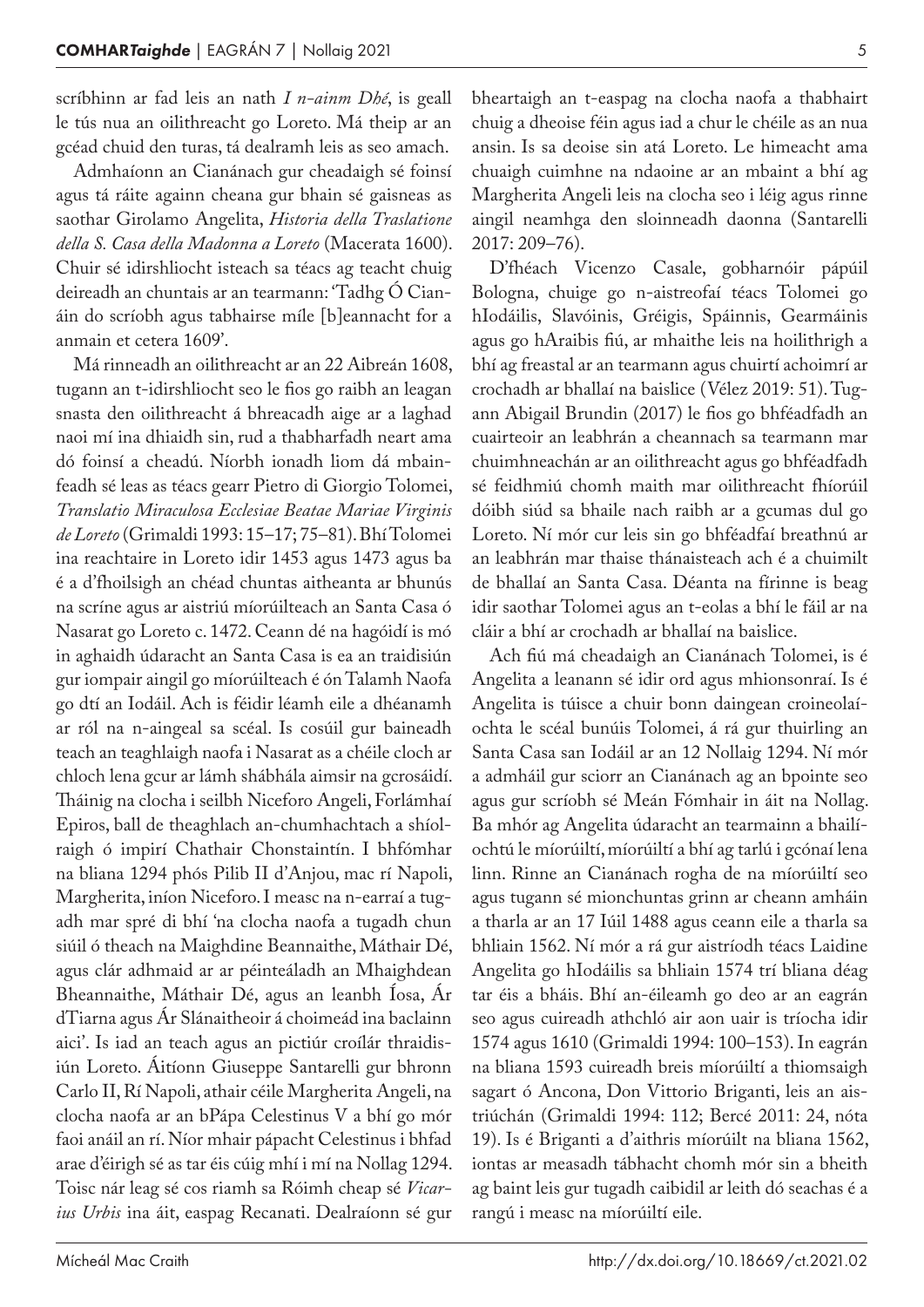scríbhinn ar fad leis an nath *I n‑ainm Dhé*, is geall le tús nua an oilithreacht go Loreto. Má theip ar an gcéad chuid den turas, tá dealramh leis as seo amach.

Admhaíonn an Cianánach gur cheadaigh sé foinsí agus tá ráite againn cheana gur bhain sé gaisneas as saothar Girolamo Angelita, *Historia della Traslatione della S. Casa della Madonna a Loreto* (Macerata 1600). Chuir sé idirshliocht isteach sa téacs ag teacht chuig deireadh an chuntais ar an tearmann: 'Tadhg O Cianáin do scríobh agus tabhairse míle [b]eannacht for a anmain et cetera 1609'.

Má rinneadh an oilithreacht ar an 22 Aibreán 1608, tugann an t‑idirshliocht seo le fios go raibh an leagan snasta den oilithreacht á bhreacadh aige ar a laghad naoi mí ina dhiaidh sin, rud a thabharfadh neart ama dó foinsí a cheadú. Níorbh ionadh liom dá mbain‑ feadh sé leas as téacs gearr Pietro di Giorgio Tolomei, *Translatio Miraculosa Ecclesiae Beatae Mariae Virginis de Loreto* (Grimaldi 1993: 15–17; 75–81). Bhí Tolomei ina reachtaire in Loreto idir 1453 agus 1473 agus ba é a d'fhoilsigh an chéad chuntas aitheanta ar bhunús na scríne agus ar aistriú míorúilteach an Santa Casa ó Nasarat go Loreto c. 1472. Ceann dé na hagóidí is mó in aghaidh údaracht an Santa Casa is ea an traidisiún gur iompair aingil go míorúilteach é ón Talamh Naofa go dtí an Iodáil. Ach is féidir léamh eile a dhéanamh ar ról na n‑aingeal sa scéal. Is cosúil gur baineadh teach an teaghlaigh naofa i Nasarat as a chéile cloch ar chloch lena gcur ar lámh shábhála aimsir na gcrosáidí. Tháinig na clocha i seilbh Niceforo Angeli, Forlámhaí Epiros, ball de theaghlach an-chumhachtach a shíolraigh ó impirí Chathair Chonstaintín. I bhfómhar na bliana 1294 phós Pilib II d'Anjou, mac rí Napoli, Margherita, iníon Niceforo. I measc na n-earraí a tugadh mar spré di bhí 'na clocha naofa a tugadh chun siúil ó theach na Maighdine Beannaithe, Máthair Dé, agus clár adhmaid ar ar péinteáladh an Mhaighdean Bheannaithe, Máthair Dé, agus an leanbh Íosa, Ár dTiarna agus Ár Slánaitheoir á choimeád ina baclainn aici'. Is iad an teach agus an pictiúr croílár thraidisiún Loreto. Áitíonn Giuseppe Santarelli gur bhronn Carlo II, Rí Napoli, athair céile Margherita Angeli, na clocha naofa ar an bPápa Celestinus V a bhí go mór faoi anáil an rí. Níor mhair pápacht Celestinus i bhfad arae d'éirigh sé as tar éis cúig mhí i mí na Nollag 1294. Toisc nár leag sé cos riamh sa Róimh cheap sé *Vicar‑ ius Urbis* ina áit, easpag Recanati. Dealraíonn sé gur

bheartaigh an t‑easpag na clocha naofa a thabhairt chuig a dheoise féin agus iad a chur le chéile as an nua ansin. Is sa deoise sin atá Loreto. Le himeacht ama chuaigh cuimhne na ndaoine ar an mbaint a bhí ag Margherita Angeli leis na clocha seo i léig agus rinne aingil neamhga den sloinneadh daonna (Santarelli 2017: 209–76).

D'fhéach Vicenzo Casale, gobharnóir pápúil Bologna, chuige go n‑aistreofaí téacs Tolomei go hIodáilis, Slavóinis, Gréigis, Spáinnis, Gearmáinis agus go hAraibis fiú, ar mhaithe leis na hoilithrigh a bhí ag freastal ar an tearmann agus chuirtí achoimrí ar crochadh ar bhallaí na baislice (Vélez 2019: 51). Tugann Abigail Brundin (2017) le fios go bhféadfadh an cuairteoir an leabhrán a cheannach sa tearmann mar chuimhneachán ar an oilithreacht agus go bhféadfadh sé feidhmiú chomh maith mar oilithreacht fhíorúil dóibh siúd sa bhaile nach raibh ar a gcumas dul go Loreto. Ní mór cur leis sin go bhféadfaí breathnú ar an leabhrán mar thaise thánaisteach ach é a chuimilt de bhallaí an Santa Casa. Déanta na fírinne is beag idir saothar Tolomei agus an t-eolas a bhí le fáil ar na cláir a bhí ar crochadh ar bhallaí na baislice.

Ach fiú má cheadaigh an Cianánach Tolomei, is é Angelita a leanann sé idir ord agus mhionsonraí. Is é Angelita is túisce a chuir bonn daingean croineolaíochta le scéal bunúis Tolomei, á rá gur thuirling an Santa Casa san Iodáil ar an 12 Nollaig 1294. Ní mór a admháil gur sciorr an Cianánach ag an bpointe seo agus gur scríobh sé Meán Fómhair in áit na Nollag. Ba mhór ag Angelita údaracht an tearmainn a bhailíochtú le míorúiltí, míorúiltí a bhí ag tarlú i gcónaí lena linn. Rinne an Cianánach rogha de na míorúiltí seo agus tugann sé mionchuntas grinn ar cheann amháin a tharla ar an 17 Iúil 1488 agus ceann eile a tharla sa bhliain 1562. Ní mór a rá gur aistríodh téacs Laidine Angelita go hIodáilis sa bhliain 1574 trí bliana déag tar éis a bháis. Bhí an-éileamh go deo ar an eagrán seo agus cuireadh athchló air aon uair is tríocha idir 1574 agus 1610 (Grimaldi 1994: 100–153). In eagrán na bliana 1593 cuireadh breis míorúiltí a thiomsaigh sagart ó Ancona, Don Vittorio Briganti, leis an aistriúchán (Grimaldi 1994: 112; Bercé 2011: 24, nóta 19). Is é Briganti a d'aithris míorúilt na bliana 1562, iontas ar measadh tábhacht chomh mór sin a bheith ag baint leis gur tugadh caibidil ar leith dó seachas é a rangú i measc na míorúiltí eile.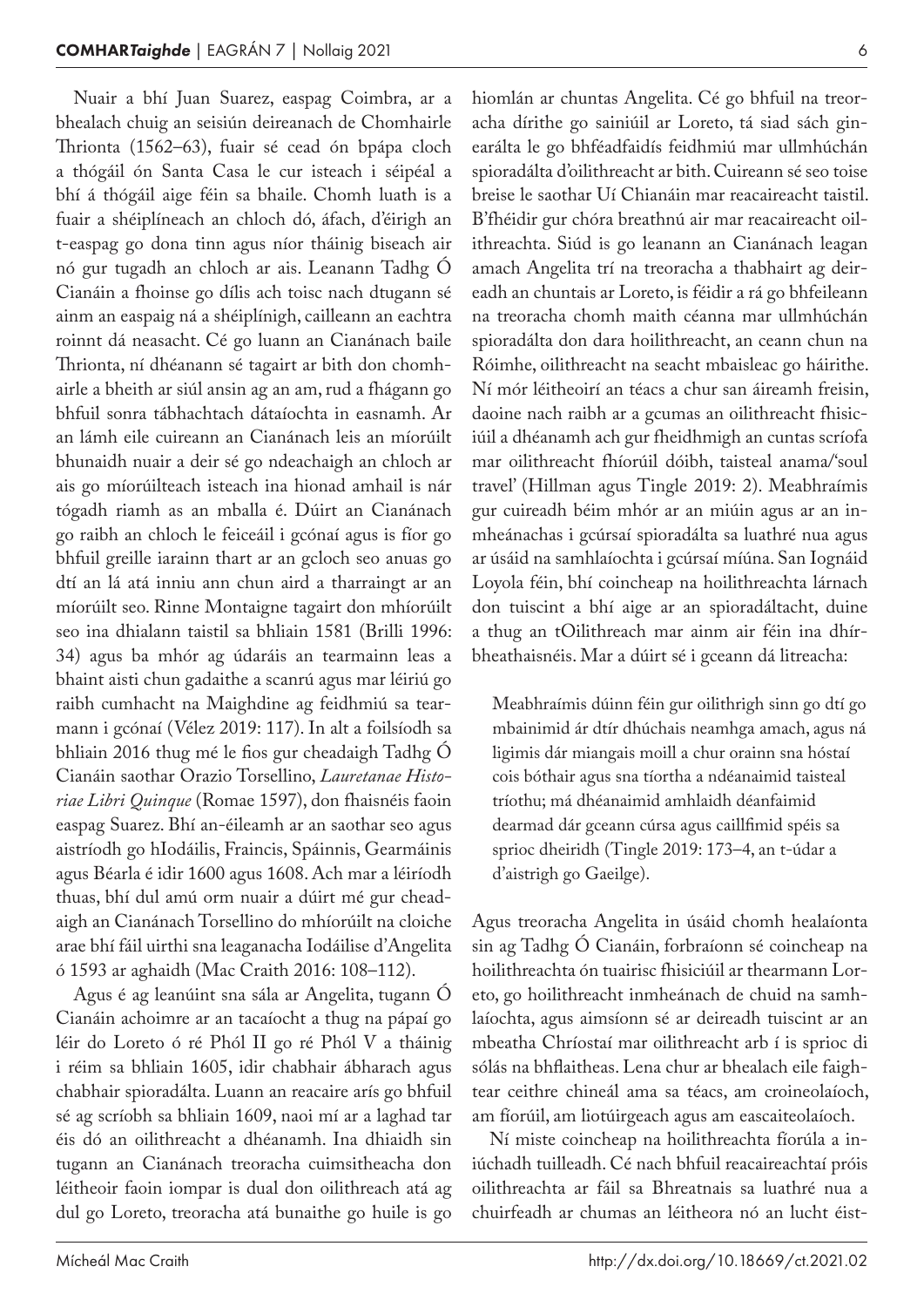Nuair a bhí Juan Suarez, easpag Coimbra, ar a bhealach chuig an seisiún deireanach de Chomhairle Thrionta (1562–63), fuair sé cead ón bpápa cloch a thógáil ón Santa Casa le cur isteach i séipéal a bhí á thógáil aige féin sa bhaile. Chomh luath is a fuair a shéiplíneach an chloch dó, áfach, d'éirigh an t-easpag go dona tinn agus níor tháinig biseach air nó gur tugadh an chloch ar ais. Leanann Tadhg Ó Cianáin a fhoinse go dílis ach toisc nach dtugann sé ainm an easpaig ná a shéiplínigh, cailleann an eachtra roinnt dá neasacht. Cé go luann an Cianánach baile Thrionta, ní dhéanann sé tagairt ar bith don chomhairle a bheith ar siúl ansin ag an am, rud a fhágann go bhfuil sonra tábhachtach dátaíochta in easnamh. Ar an lámh eile cuireann an Cianánach leis an míorúilt bhunaidh nuair a deir sé go ndeachaigh an chloch ar ais go míorúilteach isteach ina hionad amhail is nár tógadh riamh as an mballa é. Dúirt an Cianánach go raibh an chloch le feiceáil i gcónaí agus is fíor go bhfuil greille iarainn thart ar an gcloch seo anuas go dtí an lá atá inniu ann chun aird a tharraingt ar an míorúilt seo. Rinne Montaigne tagairt don mhíorúilt seo ina dhialann taistil sa bhliain 1581 (Brilli 1996: 34) agus ba mhór ag údaráis an tearmainn leas a bhaint aisti chun gadaithe a scanrú agus mar léiriú go raibh cumhacht na Maighdine ag feidhmiú sa tearmann i gcónaí (Vélez 2019: 117). In alt a foilsíodh sa bhliain 2016 thug mé le fios gur cheadaigh Tadhg Ó Cianáin saothar Orazio Torsellino, *Lauretanae Histo‑ riae Libri Quinque* (Romae 1597), don fhaisnéis faoin easpag Suarez. Bhí an-éileamh ar an saothar seo agus aistríodh go hIodáilis, Fraincis, Spáinnis, Gearmáinis agus Béarla é idir 1600 agus 1608. Ach mar a léiríodh thuas, bhí dul amú orm nuair a dúirt mé gur cheadaigh an Cianánach Torsellino do mhíorúilt na cloiche arae bhí fáil uirthi sna leaganacha Iodáilise d'Angelita ó 1593 ar aghaidh (Mac Craith 2016: 108–112).

Agus é ag leanúint sna sála ar Angelita, tugann Ó Cianáin achoimre ar an tacaíocht a thug na pápaí go léir do Loreto ó ré Phól II go ré Phól V a tháinig i réim sa bhliain 1605, idir chabhair ábharach agus chabhair spioradálta. Luann an reacaire arís go bhfuil sé ag scríobh sa bhliain 1609, naoi mí ar a laghad tar éis dó an oilithreacht a dhéanamh. Ina dhiaidh sin tugann an Cianánach treoracha cuimsitheacha don léitheoir faoin iompar is dual don oilithreach atá ag dul go Loreto, treoracha atá bunaithe go huile is go hiomlán ar chuntas Angelita. Cé go bhfuil na treoracha dírithe go sainiúil ar Loreto, tá siad sách ginearálta le go bhféadfaidís feidhmiú mar ullmhúchán spioradálta d'oilithreacht ar bith. Cuireann sé seo toise breise le saothar Uí Chianáin mar reacaireacht taistil. B'fhéidir gur chóra breathnú air mar reacaireacht oilithreachta. Siúd is go leanann an Cianánach leagan amach Angelita trí na treoracha a thabhairt ag deireadh an chuntais ar Loreto, is féidir a rá go bhfeileann na treoracha chomh maith céanna mar ullmhúchán spioradálta don dara hoilithreacht, an ceann chun na Róimhe, oilithreacht na seacht mbaisleac go háirithe. Ní mór léitheoirí an téacs a chur san áireamh freisin, daoine nach raibh ar a gcumas an oilithreacht fhisiciúil a dhéanamh ach gur fheidhmigh an cuntas scríofa mar oilithreacht fhíorúil dóibh, taisteal anama/'soul travel' (Hillman agus Tingle 2019: 2). Meabhraímis gur cuireadh béim mhór ar an miúin agus ar an in‑ mheánachas i gcúrsaí spioradálta sa luathré nua agus ar úsáid na samhlaíochta i gcúrsaí míúna. San Iognáid Loyola féin, bhí coincheap na hoilithreachta lárnach don tuiscint a bhí aige ar an spioradáltacht, duine a thug an tOilithreach mar ainm air féin ina dhírbheathaisnéis. Mar a dúirt sé i gceann dá litreacha:

Meabhraímis dúinn féin gur oilithrigh sinn go dtí go mbainimid ár dtír dhúchais neamhga amach, agus ná ligimis dár miangais moill a chur orainn sna hóstaí cois bóthair agus sna tíortha a ndéanaimid taisteal tríothu; má dhéanaimid amhlaidh déanfaimid dearmad dár gceann cúrsa agus caillfimid spéis sa sprioc dheiridh (Tingle 2019: 173–4, an t-údar a d'aistrigh go Gaeilge).

Agus treoracha Angelita in úsáid chomh healaíonta sin ag Tadhg Ó Cianáin, forbraíonn sé coincheap na hoilithreachta ón tuairisc fhisiciúil ar thearmann Loreto, go hoilithreacht inmheánach de chuid na samh‑ laíochta, agus aimsíonn sé ar deireadh tuiscint ar an mbeatha Chríostaí mar oilithreacht arb í is sprioc di sólás na bhflaitheas. Lena chur ar bhealach eile faightear ceithre chineál ama sa téacs, am croineolaíoch, am fíorúil, am liotúirgeach agus am eascaiteolaíoch.

Ní miste coincheap na hoilithreachta fíorúla a in‑ iúchadh tuilleadh. Cé nach bhfuil reacaireachtaí próis oilithreachta ar fáil sa Bhreatnais sa luathré nua a chuirfeadh ar chumas an léitheora nó an lucht éist-

6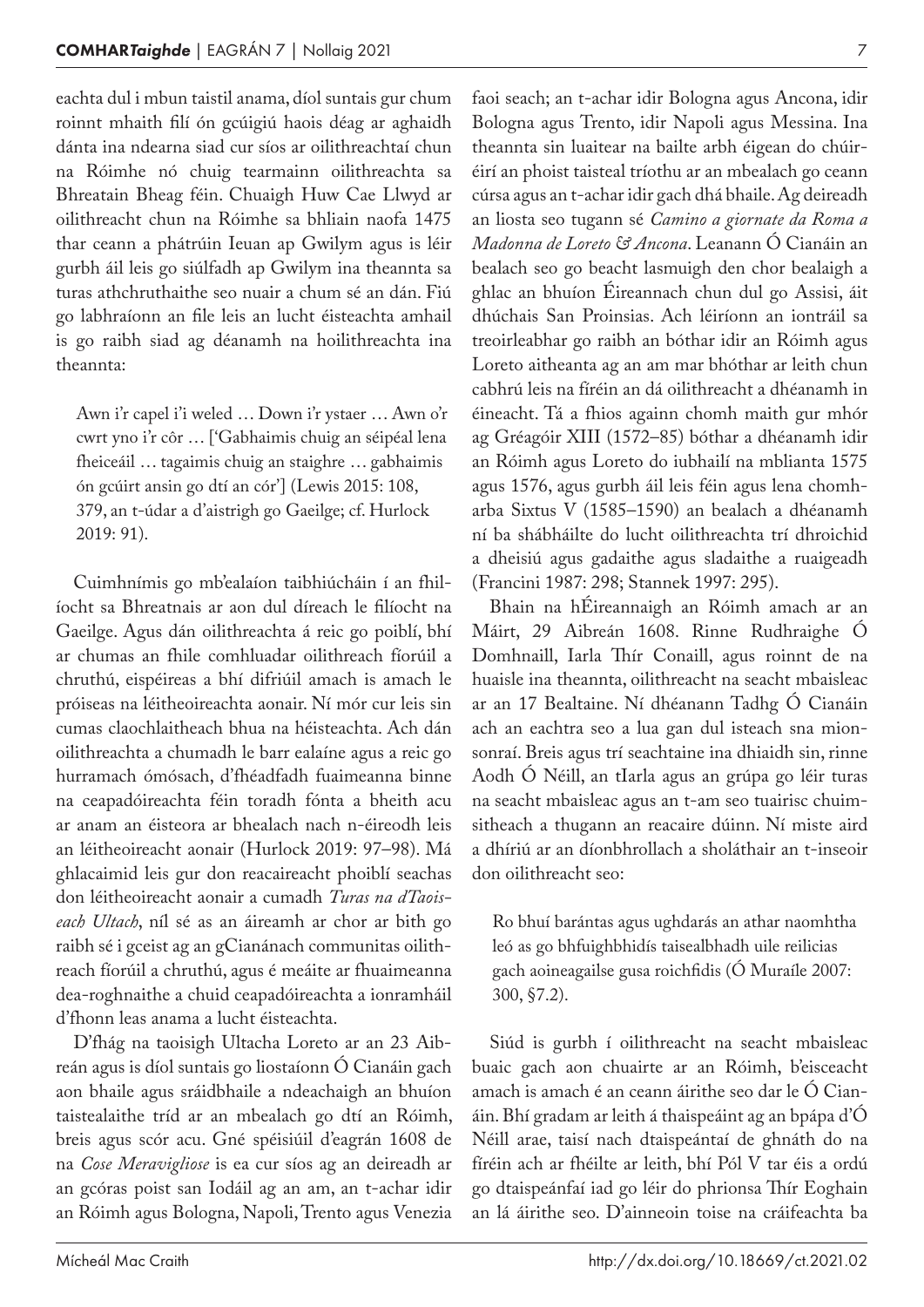eachta dul i mbun taistil anama, díol suntais gur chum roinnt mhaith filí ón gcúigiú haois déag ar aghaidh dánta ina ndearna siad cur síos ar oilithreachtaí chun na Róimhe nó chuig tearmainn oilithreachta sa Bhreatain Bheag féin. Chuaigh Huw Cae Llwyd ar oilithreacht chun na Róimhe sa bhliain naofa 1475 thar ceann a phátrúin Ieuan ap Gwilym agus is léir gurbh áil leis go siúlfadh ap Gwilym ina theannta sa turas athchruthaithe seo nuair a chum sé an dán. Fiú go labhraíonn an file leis an lucht éisteachta amhail is go raibh siad ag déanamh na hoilithreachta ina theannta:

Awn i'r capel i'i weled … Down i'r ystaer … Awn o'r cwrt yno i'r côr … ['Gabhaimis chuig an séipéal lena fheiceáil … tagaimis chuig an staighre … gabhaimis ón gcúirt ansin go dtí an cór'] (Lewis 2015: 108, 379, an t‑údar a d'aistrigh go Gaeilge; cf. Hurlock 2019: 91).

Cuimhnímis go mb'ealaíon taibhiúcháin í an fhil‑ íocht sa Bhreatnais ar aon dul díreach le filíocht na Gaeilge. Agus dán oilithreachta á reic go poiblí, bhí ar chumas an fhile comhluadar oilithreach fíorúil a chruthú, eispéireas a bhí difriúil amach is amach le próiseas na léitheoireachta aonair. Ní mór cur leis sin cumas claochlaitheach bhua na héisteachta. Ach dán oilithreachta a chumadh le barr ealaíne agus a reic go hurramach ómósach, d'fhéadfadh fuaimeanna binne na ceapadóireachta féin toradh fónta a bheith acu ar anam an éisteora ar bhealach nach n‑éireodh leis an léitheoireacht aonair (Hurlock 2019: 97–98). Má ghlacaimid leis gur don reacaireacht phoiblí seachas don léitheoireacht aonair a cumadh *Turas na dTaois‑ each Ultach*, níl sé as an áireamh ar chor ar bith go raibh sé i gceist ag an gCianánach communitas oilithreach fíorúil a chruthú, agus é meáite ar fhuaimeanna dea-roghnaithe a chuid ceapadóireachta a ionramháil d'fhonn leas anama a lucht éisteachta.

D'fhág na taoisigh Ultacha Loreto ar an 23 Aibreán agus is díol suntais go liostaíonn Ó Cianáin gach aon bhaile agus sráidbhaile a ndeachaigh an bhuíon taistealaithe tríd ar an mbealach go dtí an Róimh, breis agus scór acu. Gné spéisiúil d'eagrán 1608 de na *Cose Meravigliose* is ea cur síos ag an deireadh ar an gcóras poist san Iodáil ag an am, an t‑achar idir an Róimh agus Bologna, Napoli, Trento agus Venezia

faoi seach; an t‑achar idir Bologna agus Ancona, idir Bologna agus Trento, idir Napoli agus Messina. Ina theannta sin luaitear na bailte arbh éigean do chúiréirí an phoist taisteal tríothu ar an mbealach go ceann cúrsa agus an t‑achar idir gach dhá bhaile. Ag deireadh an liosta seo tugann sé *Camino a giornate da Roma a Madonna de Loreto & Ancona*. Leanann Ó Cianáin an bealach seo go beacht lasmuigh den chor bealaigh a ghlac an bhuíon Éireannach chun dul go Assisi, áit dhúchais San Proinsias. Ach léiríonn an iontráil sa treoirleabhar go raibh an bóthar idir an Róimh agus Loreto aitheanta ag an am mar bhóthar ar leith chun cabhrú leis na fíréin an dá oilithreacht a dhéanamh in éineacht. Tá a fhios againn chomh maith gur mhór ag Gréagóir XIII (1572–85) bóthar a dhéanamh idir an Róimh agus Loreto do iubhailí na mblianta 1575 agus 1576, agus gurbh áil leis féin agus lena chomharba Sixtus V (1585–1590) an bealach a dhéanamh ní ba shábháilte do lucht oilithreachta trí dhroichid a dheisiú agus gadaithe agus sladaithe a ruaigeadh (Francini 1987: 298; Stannek 1997: 295).

Bhain na hÉireannaigh an Róimh amach ar an Máirt, 29 Aibreán 1608. Rinne Rudhraighe Ó Domhnaill, Iarla Thír Conaill, agus roinnt de na huaisle ina theannta, oilithreacht na seacht mbaisleac ar an 17 Bealtaine. Ní dhéanann Tadhg Ó Cianáin ach an eachtra seo a lua gan dul isteach sna mionsonraí. Breis agus trí seachtaine ina dhiaidh sin, rinne Aodh Ó Néill, an tIarla agus an grúpa go léir turas na seacht mbaisleac agus an t-am seo tuairisc chuimsitheach a thugann an reacaire dúinn. Ní miste aird a dhíriú ar an díonbhrollach a sholáthair an t‑inseoir don oilithreacht seo:

Ro bhuí barántas agus ughdarás an athar naomhtha leó as go bhfuighbhidís taisealbhadh uile reilicias gach aoineagailse gusa roichfidis (Ó Muraíle 2007: 300, §7.2).

Siúd is gurbh í oilithreacht na seacht mbaisleac buaic gach aon chuairte ar an Róimh, b'eisceacht amach is amach é an ceann áirithe seo dar le Ó Cianáin. Bhí gradam ar leith á thaispeáint ag an bpápa d'Ó Néill arae, taisí nach dtaispeántaí de ghnáth do na fíréin ach ar fhéilte ar leith, bhí Pól V tar éis a ordú go dtaispeánfaí iad go léir do phrionsa Thír Eoghain an lá áirithe seo. D'ainneoin toise na cráifeachta ba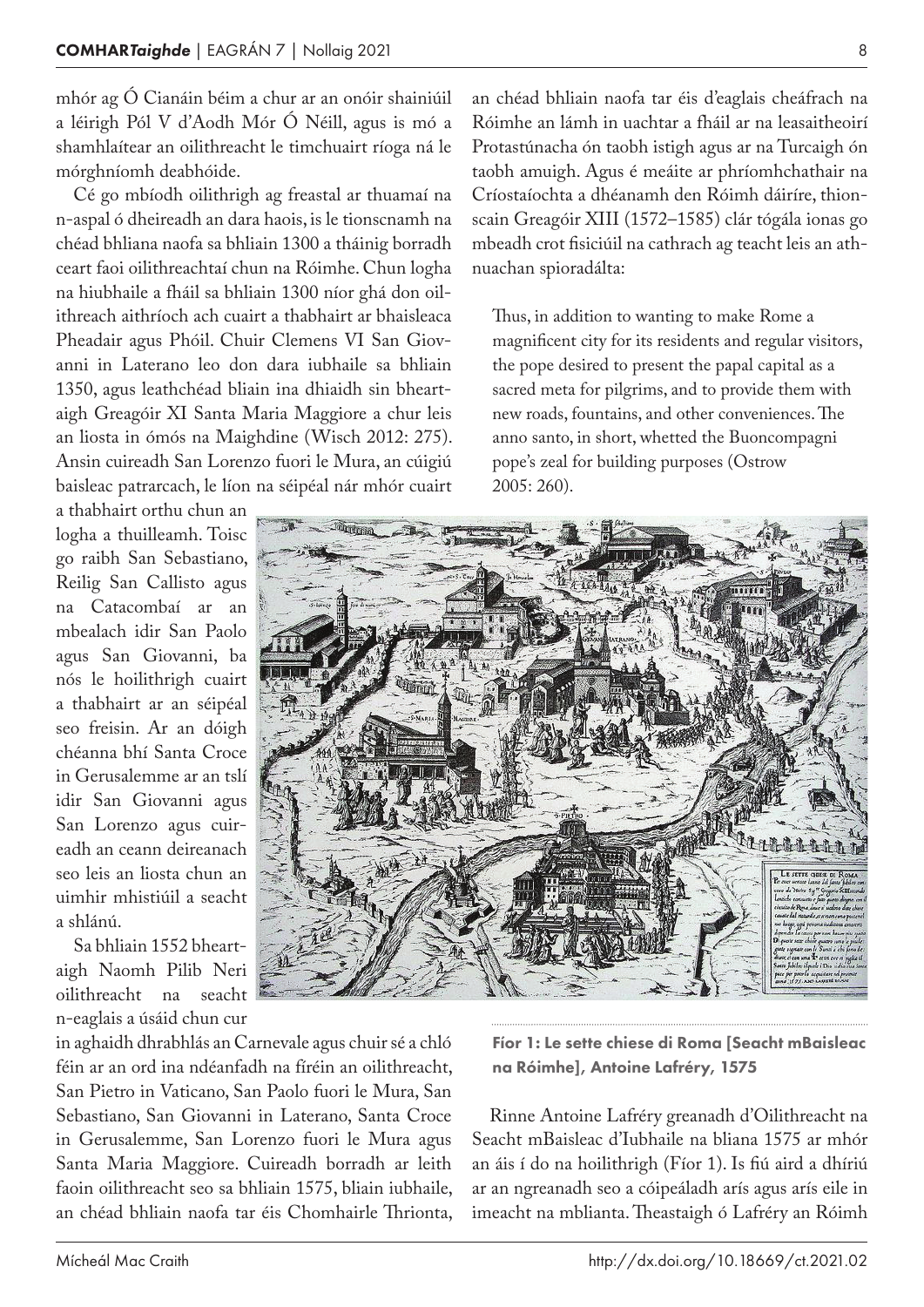mhór ag Ó Cianáin béim a chur ar an onóir shainiúil a léirigh Pól V d'Aodh Mór Ó Néill, agus is mó a shamhlaítear an oilithreacht le timchuairt ríoga ná le mórghníomh deabhóide.

Cé go mbíodh oilithrigh ag freastal ar thuamaí na n‑aspal ó dheireadh an dara haois, is le tionscnamh na chéad bhliana naofa sa bhliain 1300 a tháinig borradh ceart faoi oilithreachtaí chun na Róimhe. Chun logha na hiubhaile a fháil sa bhliain 1300 níor ghá don oil‑ ithreach aithríoch ach cuairt a thabhairt ar bhaisleaca Pheadair agus Phóil. Chuir Clemens VI San Giovanni in Laterano leo don dara iubhaile sa bhliain 1350, agus leathchéad bliain ina dhiaidh sin bheart‑ aigh Greagóir XI Santa Maria Maggiore a chur leis an liosta in ómós na Maighdine (Wisch 2012: 275). Ansin cuireadh San Lorenzo fuori le Mura, an cúigiú baisleac patrarcach, le líon na séipéal nár mhór cuairt

a thabhairt orthu chun an logha a thuilleamh. Toisc go raibh San Sebastiano, Reilig San Callisto agus na Catacombaí ar an mbealach idir San Paolo agus San Giovanni, ba nós le hoilithrigh cuairt a thabhairt ar an séipéal seo freisin. Ar an dóigh chéanna bhí Santa Croce in Gerusalemme ar an tslí idir San Giovanni agus San Lorenzo agus cuireadh an ceann deireanach seo leis an liosta chun an uimhir mhistiúil a seacht a shlánú.

Sa bhliain 1552 bheart‑ aigh Naomh Pilib Neri oilithreacht na seacht n‑eaglais a úsáid chun cur

in aghaidh dhrabhlás an Carnevale agus chuir sé a chló féin ar an ord ina ndéanfadh na fíréin an oilithreacht, San Pietro in Vaticano, San Paolo fuori le Mura, San Sebastiano, San Giovanni in Laterano, Santa Croce in Gerusalemme, San Lorenzo fuori le Mura agus Santa Maria Maggiore. Cuireadh borradh ar leith faoin oilithreacht seo sa bhliain 1575, bliain iubhaile, an chéad bhliain naofa tar éis Chomhairle Thrionta,

an chéad bhliain naofa tar éis d'eaglais cheáfrach na Róimhe an lámh in uachtar a fháil ar na leasaitheoirí Protastúnacha ón taobh istigh agus ar na Turcaigh ón taobh amuigh. Agus é meáite ar phríomhchathair na Críostaíochta a dhéanamh den Róimh dáiríre, thionscain Greagóir XIII (1572–1585) clár tógála ionas go mbeadh crot fisiciúil na cathrach ag teacht leis an athnuachan spioradálta:

Thus, in addition to wanting to make Rome a magnificent city for its residents and regular visitors, the pope desired to present the papal capital as a sacred meta for pilgrims, and to provide them with new roads, fountains, and other conveniences. The anno santo, in short, whetted the Buoncompagni pope's zeal for building purposes (Ostrow 2005: 260).



Fíor 1: Le sette chiese di Roma [Seacht mBaisleac na Róimhe], Antoine Lafréry, 1575

Rinne Antoine Lafréry greanadh d'Oilithreacht na Seacht mBaisleac d'Iubhaile na bliana 1575 ar mhór an áis í do na hoilithrigh (Fíor 1). Is fiú aird a dhíriú ar an ngreanadh seo a cóipeáladh arís agus arís eile in imeacht na mblianta. Theastaigh ó Lafréry an Róimh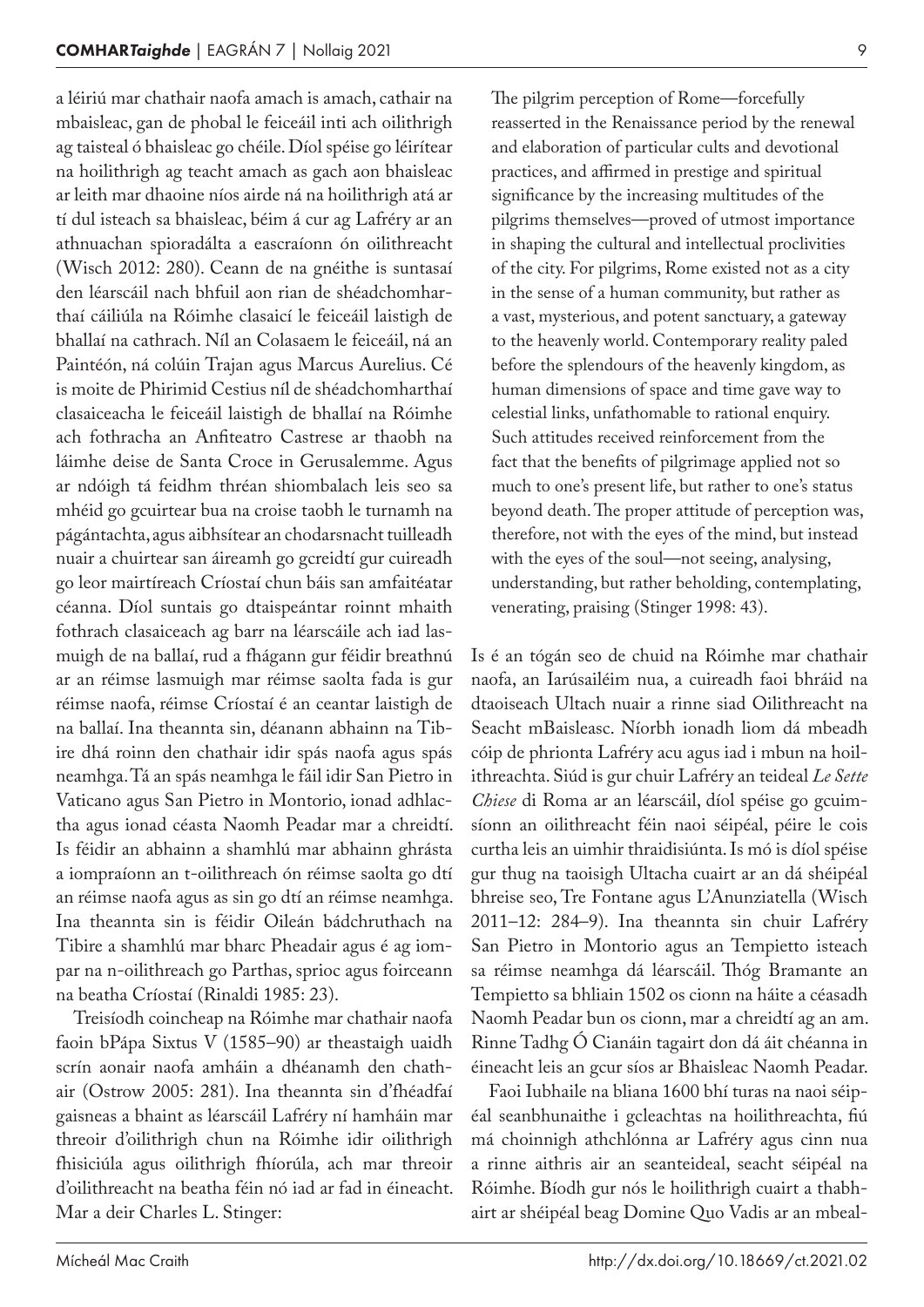a léiriú mar chathair naofa amach is amach, cathair na mbaisleac, gan de phobal le feiceáil inti ach oilithrigh ag taisteal ó bhaisleac go chéile. Díol spéise go léirítear na hoilithrigh ag teacht amach as gach aon bhaisleac ar leith mar dhaoine níos airde ná na hoilithrigh atá ar tí dul isteach sa bhaisleac, béim á cur ag Lafréry ar an athnuachan spioradálta a eascraíonn ón oilithreacht (Wisch 2012: 280). Ceann de na gnéithe is suntasaí den léarscáil nach bhfuil aon rian de shéadchomharthaí cáiliúla na Róimhe clasaicí le feiceáil laistigh de bhallaí na cathrach. Níl an Colasaem le feiceáil, ná an Paintéón, ná colúin Trajan agus Marcus Aurelius. Cé is moite de Phirimid Cestius níl de shéadchomharthaí clasaiceacha le feiceáil laistigh de bhallaí na Róimhe ach fothracha an Anfiteatro Castrese ar thaobh na láimhe deise de Santa Croce in Gerusalemme. Agus ar ndóigh tá feidhm thréan shiombalach leis seo sa mhéid go gcuirtear bua na croise taobh le turnamh na págántachta, agus aibhsítear an chodarsnacht tuilleadh nuair a chuirtear san áireamh go gcreidtí gur cuireadh go leor mairtíreach Críostaí chun báis san amfaitéatar céanna. Díol suntais go dtaispeántar roinnt mhaith fothrach clasaiceach ag barr na léarscáile ach iad las‑ muigh de na ballaí, rud a fhágann gur féidir breathnú ar an réimse lasmuigh mar réimse saolta fada is gur réimse naofa, réimse Críostaí é an ceantar laistigh de na ballaí. Ina theannta sin, déanann abhainn na Tibire dhá roinn den chathair idir spás naofa agus spás neamhga. Tá an spás neamhga le fáil idir San Pietro in Vaticano agus San Pietro in Montorio, ionad adhlactha agus ionad céasta Naomh Peadar mar a chreidtí. Is féidir an abhainn a shamhlú mar abhainn ghrásta a iompraíonn an t‑oilithreach ón réimse saolta go dtí an réimse naofa agus as sin go dtí an réimse neamhga. Ina theannta sin is féidir Oileán bádchruthach na Tibire a shamhlú mar bharc Pheadair agus é ag iompar na n‑oilithreach go Parthas, sprioc agus foirceann na beatha Críostaí (Rinaldi 1985: 23).

Treisíodh coincheap na Róimhe mar chathair naofa faoin bPápa Sixtus V (1585–90) ar theastaigh uaidh scrín aonair naofa amháin a dhéanamh den chathair (Ostrow 2005: 281). Ina theannta sin d'fhéadfaí gaisneas a bhaint as léarscáil Lafréry ní hamháin mar threoir d'oilithrigh chun na Róimhe idir oilithrigh fhisiciúla agus oilithrigh fhíorúla, ach mar threoir d'oilithreacht na beatha féin nó iad ar fad in éineacht. Mar a deir Charles L. Stinger:

The pilgrim perception of Rome—forcefully reasserted in the Renaissance period by the renewal and elaboration of particular cults and devotional practices, and affirmed in prestige and spiritual significance by the increasing multitudes of the pilgrims themselves—proved of utmost importance in shaping the cultural and intellectual proclivities of the city. For pilgrims, Rome existed not as a city in the sense of a human community, but rather as a vast, mysterious, and potent sanctuary, a gateway to the heavenly world. Contemporary reality paled before the splendours of the heavenly kingdom, as human dimensions of space and time gave way to celestial links, unfathomable to rational enquiry. Such attitudes received reinforcement from the fact that the benefits of pilgrimage applied not so much to one's present life, but rather to one's status beyond death. The proper attitude of perception was, therefore, not with the eyes of the mind, but instead with the eyes of the soul—not seeing, analysing, understanding, but rather beholding, contemplating, venerating, praising (Stinger 1998: 43).

Is é an tógán seo de chuid na Róimhe mar chathair naofa, an Iarúsailéim nua, a cuireadh faoi bhráid na dtaoiseach Ultach nuair a rinne siad Oilithreacht na Seacht mBaisleasc. Níorbh ionadh liom dá mbeadh cóip de phrionta Lafréry acu agus iad i mbun na hoil‑ ithreachta. Siúd is gur chuir Lafréry an teideal *Le Sette Chiese* di Roma ar an léarscáil, díol spéise go gcuim‑ síonn an oilithreacht féin naoi séipéal, péire le cois curtha leis an uimhir thraidisiúnta. Is mó is díol spéise gur thug na taoisigh Ultacha cuairt ar an dá shéipéal bhreise seo, Tre Fontane agus L'Anunziatella (Wisch 2011–12: 284–9). Ina theannta sin chuir Lafréry San Pietro in Montorio agus an Tempietto isteach sa réimse neamhga dá léarscáil. Thóg Bramante an Tempietto sa bhliain 1502 os cionn na háite a céasadh Naomh Peadar bun os cionn, mar a chreidtí ag an am. Rinne Tadhg Ó Cianáin tagairt don dá áit chéanna in éineacht leis an gcur síos ar Bhaisleac Naomh Peadar.

Faoi Iubhaile na bliana 1600 bhí turas na naoi séipéal seanbhunaithe i gcleachtas na hoilithreachta, fiú má choinnigh athchlónna ar Lafréry agus cinn nua a rinne aithris air an seanteideal, seacht séipéal na Róimhe. Bíodh gur nós le hoilithrigh cuairt a thabh‑ airt ar shéipéal beag Domine Quo Vadis ar an mbeal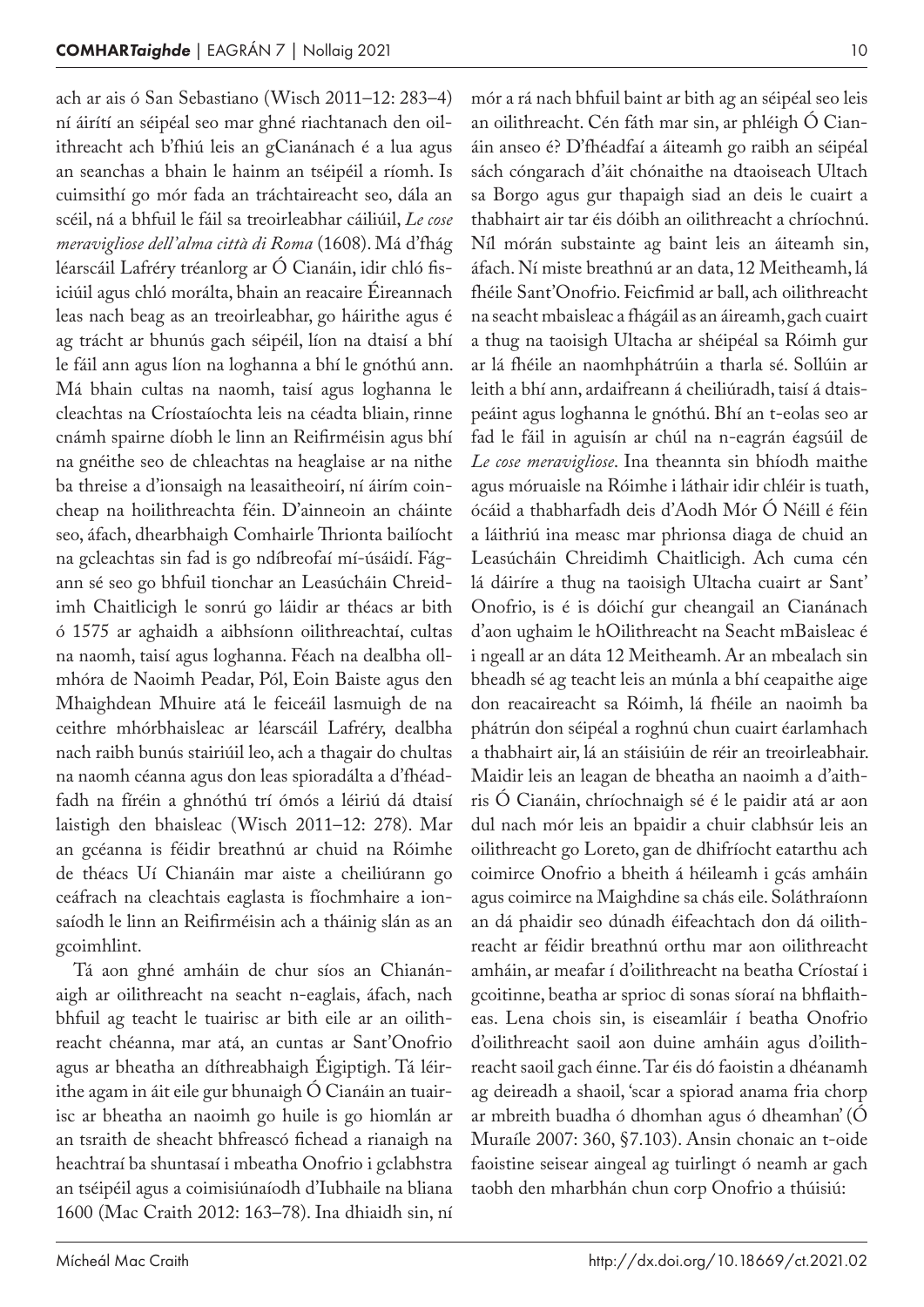ach ar ais ó San Sebastiano (Wisch 2011–12: 283–4) ní áirítí an séipéal seo mar ghné riachtanach den oil‑ ithreacht ach b'fhiú leis an gCianánach é a lua agus an seanchas a bhain le hainm an tséipéil a ríomh. Is cuimsithí go mór fada an tráchtaireacht seo, dála an scéil, ná a bhfuil le fáil sa treoirleabhar cáiliúil, *Le cose meravigliose dell'alma città di Roma* (1608). Má d'fhág léarscáil Lafréry tréanlorg ar Ó Cianáin, idir chló fisiciúil agus chló morálta, bhain an reacaire Éireannach leas nach beag as an treoirleabhar, go háirithe agus é ag trácht ar bhunús gach séipéil, líon na dtaisí a bhí le fáil ann agus líon na loghanna a bhí le gnóthú ann. Má bhain cultas na naomh, taisí agus loghanna le cleachtas na Críostaíochta leis na céadta bliain, rinne cnámh spairne díobh le linn an Reifirméisin agus bhí na gnéithe seo de chleachtas na heaglaise ar na nithe ba threise a d'ionsaigh na leasaitheoirí, ní áirím coincheap na hoilithreachta féin. D'ainneoin an cháinte seo, áfach, dhearbhaigh Comhairle Thrionta bailíocht na gcleachtas sin fad is go ndíbreofaí mí-úsáidí. Fágann sé seo go bhfuil tionchar an Leasúcháin Chreidimh Chaitlicigh le sonrú go láidir ar théacs ar bith ó 1575 ar aghaidh a aibhsíonn oilithreachtaí, cultas na naomh, taisí agus loghanna. Féach na dealbha ollmhóra de Naoimh Peadar, Pól, Eoin Baiste agus den Mhaighdean Mhuire atá le feiceáil lasmuigh de na ceithre mhórbhaisleac ar léarscáil Lafréry, dealbha nach raibh bunús stairiúil leo, ach a thagair do chultas na naomh céanna agus don leas spioradálta a d'fhéadfadh na fíréin a ghnóthú trí ómós a léiriú dá dtaisí laistigh den bhaisleac (Wisch 2011–12: 278). Mar an gcéanna is féidir breathnú ar chuid na Róimhe de théacs Uí Chianáin mar aiste a cheiliúrann go ceáfrach na cleachtais eaglasta is fíochmhaire a ionsaíodh le linn an Reifirméisin ach a tháinig slán as an gcoimhlint.

Tá aon ghné amháin de chur síos an Chianánaigh ar oilithreacht na seacht n‑eaglais, áfach, nach bhfuil ag teacht le tuairisc ar bith eile ar an oilithreacht chéanna, mar atá, an cuntas ar Sant'Onofrio agus ar bheatha an díthreabhaigh Éigiptigh. Tá léir‑ ithe agam in áit eile gur bhunaigh Ó Cianáin an tuairisc ar bheatha an naoimh go huile is go hiomlán ar an tsraith de sheacht bhfreascó fichead a rianaigh na heachtraí ba shuntasaí i mbeatha Onofrio i gclabhstra an tséipéil agus a coimisiúnaíodh d'Iubhaile na bliana 1600 (Mac Craith 2012: 163–78). Ina dhiaidh sin, ní

mór a rá nach bhfuil baint ar bith ag an séipéal seo leis an oilithreacht. Cén fáth mar sin, ar phléigh Ó Cianáin anseo é? D'fhéadfaí a áiteamh go raibh an séipéal sách cóngarach d'áit chónaithe na dtaoiseach Ultach sa Borgo agus gur thapaigh siad an deis le cuairt a thabhairt air tar éis dóibh an oilithreacht a chríochnú. Níl mórán substainte ag baint leis an áiteamh sin, áfach. Ní miste breathnú ar an data, 12 Meitheamh, lá fhéile Sant'Onofrio. Feicfimid ar ball, ach oilithreacht na seacht mbaisleac a fhágáil as an áireamh, gach cuairt a thug na taoisigh Ultacha ar shéipéal sa Róimh gur ar lá fhéile an naomhphátrúin a tharla sé. Sollúin ar leith a bhí ann, ardaifreann á cheiliúradh, taisí á dtaispeáint agus loghanna le gnóthú. Bhí an t‑eolas seo ar fad le fáil in aguisín ar chúl na n‑eagrán éagsúil de *Le cose meravigliose*. Ina theannta sin bhíodh maithe agus móruaisle na Róimhe i láthair idir chléir is tuath, ócáid a thabharfadh deis d'Aodh Mór Ó Néill é féin a láithriú ina measc mar phrionsa diaga de chuid an Leasúcháin Chreidimh Chaitlicigh. Ach cuma cén lá dáiríre a thug na taoisigh Ultacha cuairt ar Sant' Onofrio, is é is dóichí gur cheangail an Cianánach d'aon ughaim le hOilithreacht na Seacht mBaisleac é i ngeall ar an dáta 12 Meitheamh. Ar an mbealach sin bheadh sé ag teacht leis an múnla a bhí ceapaithe aige don reacaireacht sa Róimh, lá fhéile an naoimh ba phátrún don séipéal a roghnú chun cuairt éarlamhach a thabhairt air, lá an stáisiúin de réir an treoirleabhair. Maidir leis an leagan de bheatha an naoimh a d'aithris Ó Cianáin, chríochnaigh sé é le paidir atá ar aon dul nach mór leis an bpaidir a chuir clabhsúr leis an oilithreacht go Loreto, gan de dhifríocht eatarthu ach coimirce Onofrio a bheith á héileamh i gcás amháin agus coimirce na Maighdine sa chás eile. Soláthraíonn an dá phaidir seo dúnadh éifeachtach don dá oilithreacht ar féidir breathnú orthu mar aon oilithreacht amháin, ar meafar í d'oilithreacht na beatha Críostaí i gcoitinne, beatha ar sprioc di sonas síoraí na bhflaitheas. Lena chois sin, is eiseamláir í beatha Onofrio d'oilithreacht saoil aon duine amháin agus d'oilithreacht saoil gach éinne. Tar éis dó faoistin a dhéanamh ag deireadh a shaoil, 'scar a spiorad anama fria chorp ar mbreith buadha ó dhomhan agus ó dheamhan' (Ó Muraíle 2007: 360, §7.103). Ansin chonaic an t-oide faoistine seisear aingeal ag tuirlingt ó neamh ar gach taobh den mharbhán chun corp Onofrio a thúisiú: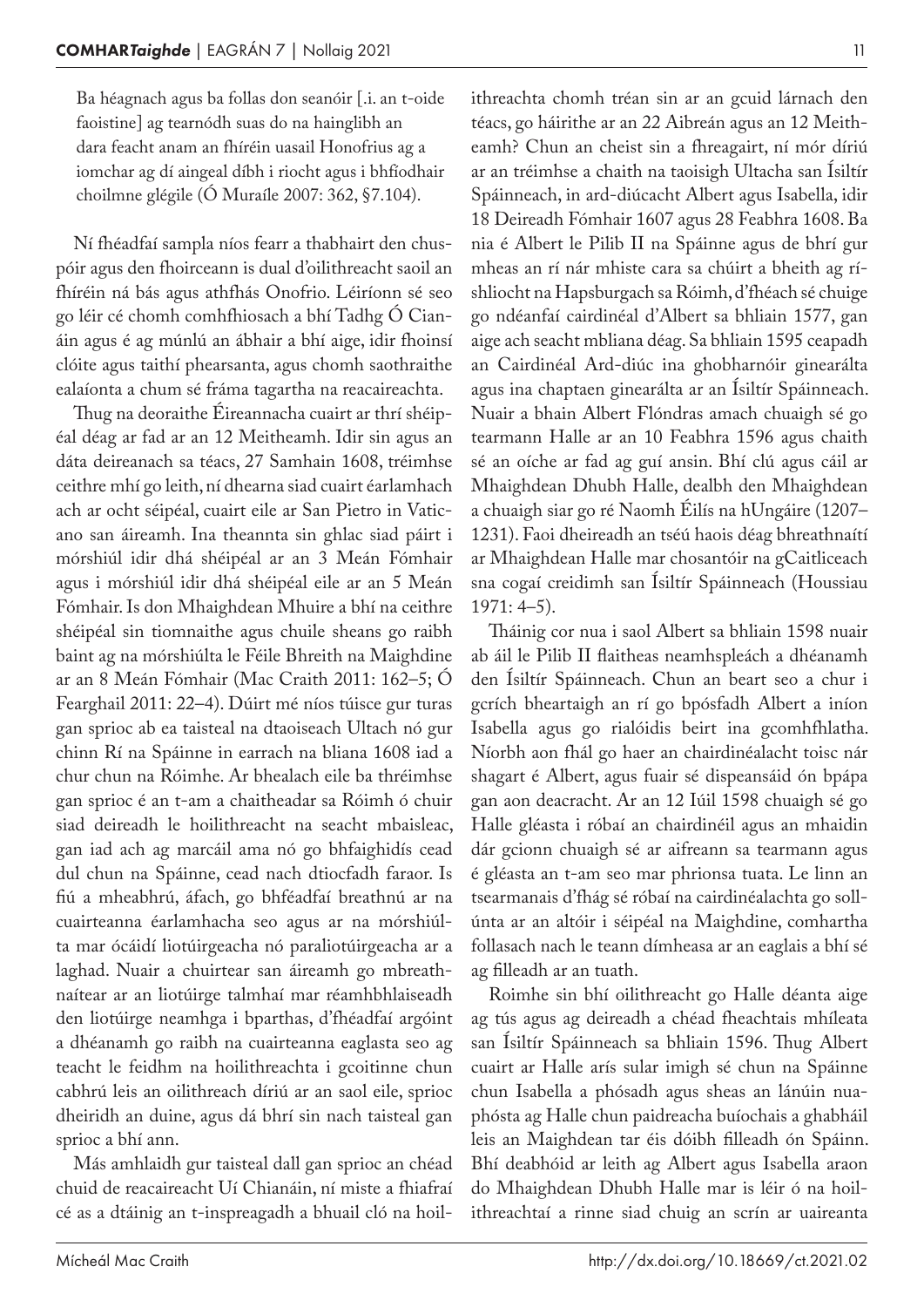Ba héagnach agus ba follas don seanóir [.i. an t-oide faoistine] ag tearnódh suas do na hainglibh an dara feacht anam an fhíréin uasail Honofrius ag a iomchar ag dí aingeal díbh i riocht agus i bhfíodhair choilmne glégile (Ó Muraíle 2007: 362, §7.104).

Ní fhéadfaí sampla níos fearr a thabhairt den chuspóir agus den fhoirceann is dual d'oilithreacht saoil an fhíréin ná bás agus athfhás Onofrio. Léiríonn sé seo go léir cé chomh comhfhiosach a bhí Tadhg Ó Cianáin agus é ag múnlú an ábhair a bhí aige, idir fhoinsí clóite agus taithí phearsanta, agus chomh saothraithe ealaíonta a chum sé fráma tagartha na reacaireachta.

Thug na deoraithe Éireannacha cuairt ar thrí shéipéal déag ar fad ar an 12 Meitheamh. Idir sin agus an dáta deireanach sa téacs, 27 Samhain 1608, tréimhse ceithre mhí go leith, ní dhearna siad cuairt éarlamhach ach ar ocht séipéal, cuairt eile ar San Pietro in Vaticano san áireamh. Ina theannta sin ghlac siad páirt i mórshiúl idir dhá shéipéal ar an 3 Meán Fómhair agus i mórshiúl idir dhá shéipéal eile ar an 5 Meán Fómhair. Is don Mhaighdean Mhuire a bhí na ceithre shéipéal sin tiomnaithe agus chuile sheans go raibh baint ag na mórshiúlta le Féile Bhreith na Maighdine ar an 8 Meán Fómhair (Mac Craith 2011: 162–5; Ó Fearghail 2011: 22–4). Dúirt mé níos túisce gur turas gan sprioc ab ea taisteal na dtaoiseach Ultach nó gur chinn Rí na Spáinne in earrach na bliana 1608 iad a chur chun na Róimhe. Ar bhealach eile ba thréimhse gan sprioc é an t‑am a chaitheadar sa Róimh ó chuir siad deireadh le hoilithreacht na seacht mbaisleac, gan iad ach ag marcáil ama nó go bhfaighidís cead dul chun na Spáinne, cead nach dtiocfadh faraor. Is fiú a mheabhrú, áfach, go bhféadfaí breathnú ar na cuairteanna éarlamhacha seo agus ar na mórshiúlta mar ócáidí liotúirgeacha nó paraliotúirgeacha ar a laghad. Nuair a chuirtear san áireamh go mbreathnaítear ar an liotúirge talmhaí mar réamhbhlaiseadh den liotúirge neamhga i bparthas, d'fhéadfaí argóint a dhéanamh go raibh na cuairteanna eaglasta seo ag teacht le feidhm na hoilithreachta i gcoitinne chun cabhrú leis an oilithreach díriú ar an saol eile, sprioc dheiridh an duine, agus dá bhrí sin nach taisteal gan sprioc a bhí ann.

Más amhlaidh gur taisteal dall gan sprioc an chéad chuid de reacaireacht Uí Chianáin, ní miste a fhiafraí cé as a dtáinig an t-inspreagadh a bhuail cló na hoil-

ithreachta chomh tréan sin ar an gcuid lárnach den téacs, go háirithe ar an 22 Aibreán agus an 12 Meitheamh? Chun an cheist sin a fhreagairt, ní mór díriú ar an tréimhse a chaith na taoisigh Ultacha san Ísiltír Spáinneach, in ard-diúcacht Albert agus Isabella, idir 18 Deireadh Fómhair 1607 agus 28 Feabhra 1608. Ba nia é Albert le Pilib II na Spáinne agus de bhrí gur mheas an rí nár mhiste cara sa chúirt a bheith ag ríshliocht na Hapsburgach sa Róimh, d'fhéach sé chuige go ndéanfaí cairdinéal d'Albert sa bhliain 1577, gan aige ach seacht mbliana déag. Sa bhliain 1595 ceapadh an Cairdinéal Ard-diúc ina ghobharnóir ginearálta agus ina chaptaen ginearálta ar an Ísiltír Spáinneach. Nuair a bhain Albert Flóndras amach chuaigh sé go tearmann Halle ar an 10 Feabhra 1596 agus chaith sé an oíche ar fad ag guí ansin. Bhí clú agus cáil ar Mhaighdean Dhubh Halle, dealbh den Mhaighdean a chuaigh siar go ré Naomh Éilís na hUngáire (1207– 1231). Faoi dheireadh an tséú haois déag bhreathnaítí ar Mhaighdean Halle mar chosantóir na gCaitliceach sna cogaí creidimh san Ísiltír Spáinneach (Houssiau 1971: 4–5).

Tháinig cor nua i saol Albert sa bhliain 1598 nuair ab áil le Pilib II flaitheas neamhspleách a dhéanamh den Ísiltír Spáinneach. Chun an beart seo a chur i gcrích bheartaigh an rí go bpósfadh Albert a iníon Isabella agus go rialóidis beirt ina gcomhfhlatha. Níorbh aon fhál go haer an chairdinéalacht toisc nár shagart é Albert, agus fuair sé dispeansáid ón bpápa gan aon deacracht. Ar an 12 Iúil 1598 chuaigh sé go Halle gléasta i róbaí an chairdinéil agus an mhaidin dár gcionn chuaigh sé ar aifreann sa tearmann agus é gléasta an t‑am seo mar phrionsa tuata. Le linn an tsearmanais d'fhág sé róbaí na cairdinéalachta go sollúnta ar an altóir i séipéal na Maighdine, comhartha follasach nach le teann dímheasa ar an eaglais a bhí sé ag filleadh ar an tuath.

Roimhe sin bhí oilithreacht go Halle déanta aige ag tús agus ag deireadh a chéad fheachtais mhíleata san Ísiltír Spáinneach sa bhliain 1596. Thug Albert cuairt ar Halle arís sular imigh sé chun na Spáinne chun Isabella a phósadh agus sheas an lánúin nua‑ phósta ag Halle chun paidreacha buíochais a ghabháil leis an Maighdean tar éis dóibh filleadh ón Spáinn. Bhí deabhóid ar leith ag Albert agus Isabella araon do Mhaighdean Dhubh Halle mar is léir ó na hoil‑ ithreachtaí a rinne siad chuig an scrín ar uaireanta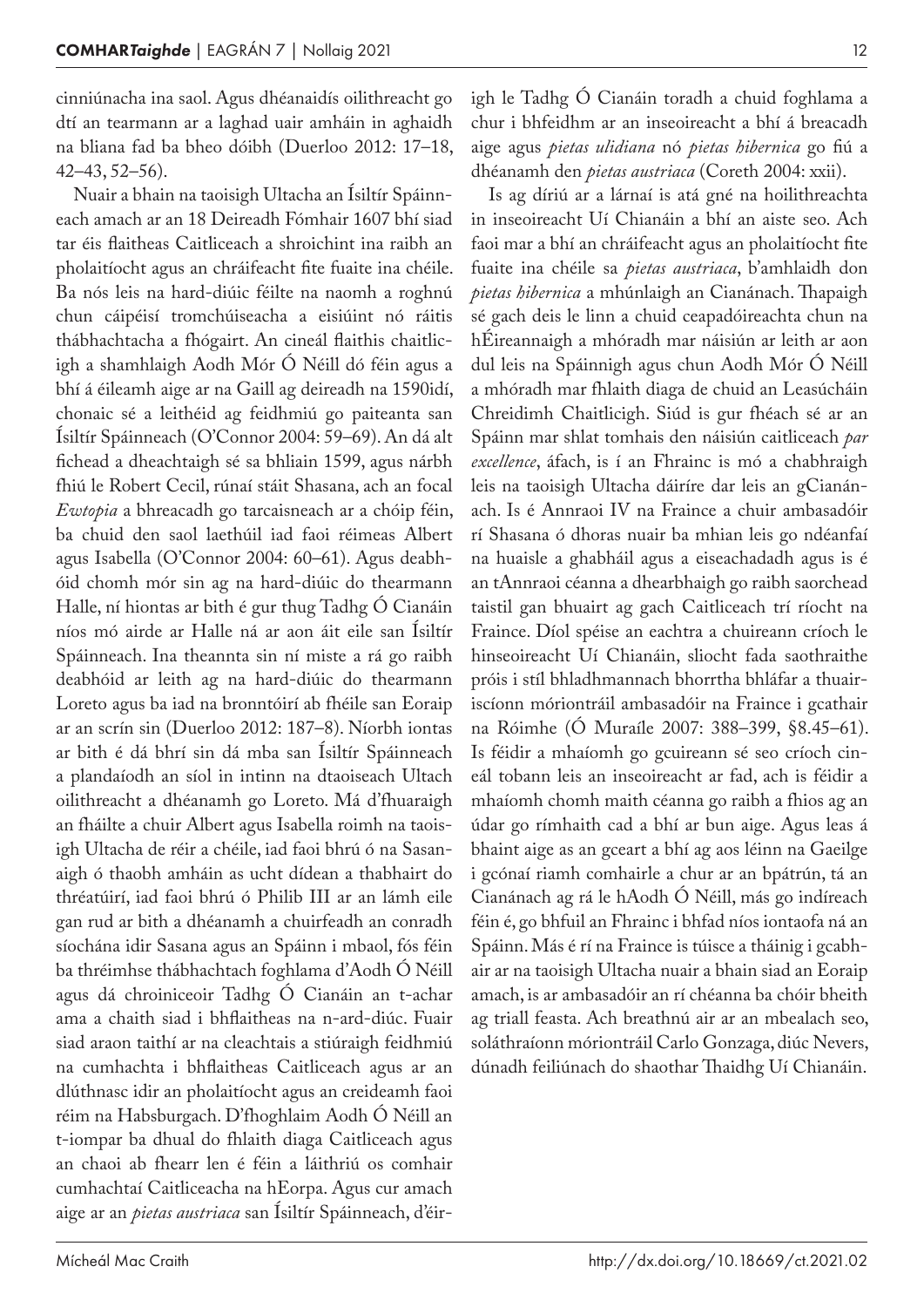cinniúnacha ina saol. Agus dhéanaidís oilithreacht go dtí an tearmann ar a laghad uair amháin in aghaidh na bliana fad ba bheo dóibh (Duerloo 2012: 17–18, 42–43, 52–56).

Nuair a bhain na taoisigh Ultacha an Ísiltír Spáinn‑ each amach ar an 18 Deireadh Fómhair 1607 bhí siad tar éis flaitheas Caitliceach a shroichint ina raibh an pholaitíocht agus an chráifeacht fite fuaite ina chéile. Ba nós leis na hard-diúic féilte na naomh a roghnú chun cáipéisí tromchúiseacha a eisiúint nó ráitis thábhachtacha a fhógairt. An cineál flaithis chaitlic‑ igh a shamhlaigh Aodh Mór Ó Néill dó féin agus a bhí á éileamh aige ar na Gaill ag deireadh na 1590idí, chonaic sé a leithéid ag feidhmiú go paiteanta san Ísiltír Spáinneach (O'Connor 2004: 59–69). An dá alt fichead a dheachtaigh sé sa bhliain 1599, agus nárbh fhiú le Robert Cecil, rúnaí stáit Shasana, ach an focal *Ewtopia* a bhreacadh go tarcaisneach ar a chóip féin, ba chuid den saol laethúil iad faoi réimeas Albert agus Isabella (O'Connor 2004: 60–61). Agus deabhóid chomh mór sin ag na hard-diúic do thearmann Halle, ní hiontas ar bith é gur thug Tadhg Ó Cianáin níos mó airde ar Halle ná ar aon áit eile san Ísiltír Spáinneach. Ina theannta sin ní miste a rá go raibh deabhóid ar leith ag na hard-diúic do thearmann Loreto agus ba iad na bronntóirí ab fhéile san Eoraip ar an scrín sin (Duerloo 2012: 187–8). Níorbh iontas ar bith é dá bhrí sin dá mba san Ísiltír Spáinneach a plandaíodh an síol in intinn na dtaoiseach Ultach oilithreacht a dhéanamh go Loreto. Má d'fhuaraigh an fháilte a chuir Albert agus Isabella roimh na taois‑ igh Ultacha de réir a chéile, iad faoi bhrú ó na Sasanaigh ó thaobh amháin as ucht dídean a thabhairt do thréatúirí, iad faoi bhrú ó Philib III ar an lámh eile gan rud ar bith a dhéanamh a chuirfeadh an conradh síochána idir Sasana agus an Spáinn i mbaol, fós féin ba thréimhse thábhachtach foghlama d'Aodh Ó Néill agus dá chroiniceoir Tadhg Ó Cianáin an t‑achar ama a chaith siad i bhflaitheas na n‑ard-diúc. Fuair siad araon taithí ar na cleachtais a stiúraigh feidhmiú na cumhachta i bhflaitheas Caitliceach agus ar an dlúthnasc idir an pholaitíocht agus an creideamh faoi réim na Habsburgach. D'fhoghlaim Aodh Ó Néill an t‑iompar ba dhual do fhlaith diaga Caitliceach agus an chaoi ab fhearr len é féin a láithriú os comhair cumhachtaí Caitliceacha na hEorpa. Agus cur amach aige ar an *pietas austriaca* san Ísiltír Spáinneach, d'éir‑

igh le Tadhg Ó Cianáin toradh a chuid foghlama a chur i bhfeidhm ar an inseoireacht a bhí á breacadh aige agus *pietas ulidiana* nó *pietas hibernica* go fiú a dhéanamh den *pietas austriaca* (Coreth 2004: xxii).

Is ag díriú ar a lárnaí is atá gné na hoilithreachta in inseoireacht Uí Chianáin a bhí an aiste seo. Ach faoi mar a bhí an chráifeacht agus an pholaitíocht fite fuaite ina chéile sa *pietas austriaca*, b'amhlaidh don *pietas hibernica* a mhúnlaigh an Cianánach. Thapaigh sé gach deis le linn a chuid ceapadóireachta chun na hÉireannaigh a mhóradh mar náisiún ar leith ar aon dul leis na Spáinnigh agus chun Aodh Mór Ó Néill a mhóradh mar fhlaith diaga de chuid an Leasúcháin Chreidimh Chaitlicigh. Siúd is gur fhéach sé ar an Spáinn mar shlat tomhais den náisiún caitliceach *par excellence*, áfach, is í an Fhrainc is mó a chabhraigh leis na taoisigh Ultacha dáiríre dar leis an gCianánach. Is é Annraoi IV na Fraince a chuir ambasadóir rí Shasana ó dhoras nuair ba mhian leis go ndéanfaí na huaisle a ghabháil agus a eiseachadadh agus is é an tAnnraoi céanna a dhearbhaigh go raibh saorchead taistil gan bhuairt ag gach Caitliceach trí ríocht na Fraince. Díol spéise an eachtra a chuireann críoch le hinseoireacht Uí Chianáin, sliocht fada saothraithe próis i stíl bhladhmannach bhorrtha bhláfar a thuair‑ iscíonn móriontráil ambasadóir na Fraince i gcathair na Róimhe (Ó Muraíle 2007: 388–399, §8.45–61). Is féidir a mhaíomh go gcuireann sé seo críoch cineál tobann leis an inseoireacht ar fad, ach is féidir a mhaíomh chomh maith céanna go raibh a fhios ag an údar go rímhaith cad a bhí ar bun aige. Agus leas á bhaint aige as an gceart a bhí ag aos léinn na Gaeilge i gcónaí riamh comhairle a chur ar an bpátrún, tá an Cianánach ag rá le hAodh Ó Néill, más go indíreach féin é, go bhfuil an Fhrainc i bhfad níos iontaofa ná an Spáinn. Más é rí na Fraince is túisce a tháinig i gcabhair ar na taoisigh Ultacha nuair a bhain siad an Eoraip amach, is ar ambasadóir an rí chéanna ba chóir bheith ag triall feasta. Ach breathnú air ar an mbealach seo, soláthraíonn móriontráil Carlo Gonzaga, diúc Nevers, dúnadh feiliúnach do shaothar Thaidhg Uí Chianáin.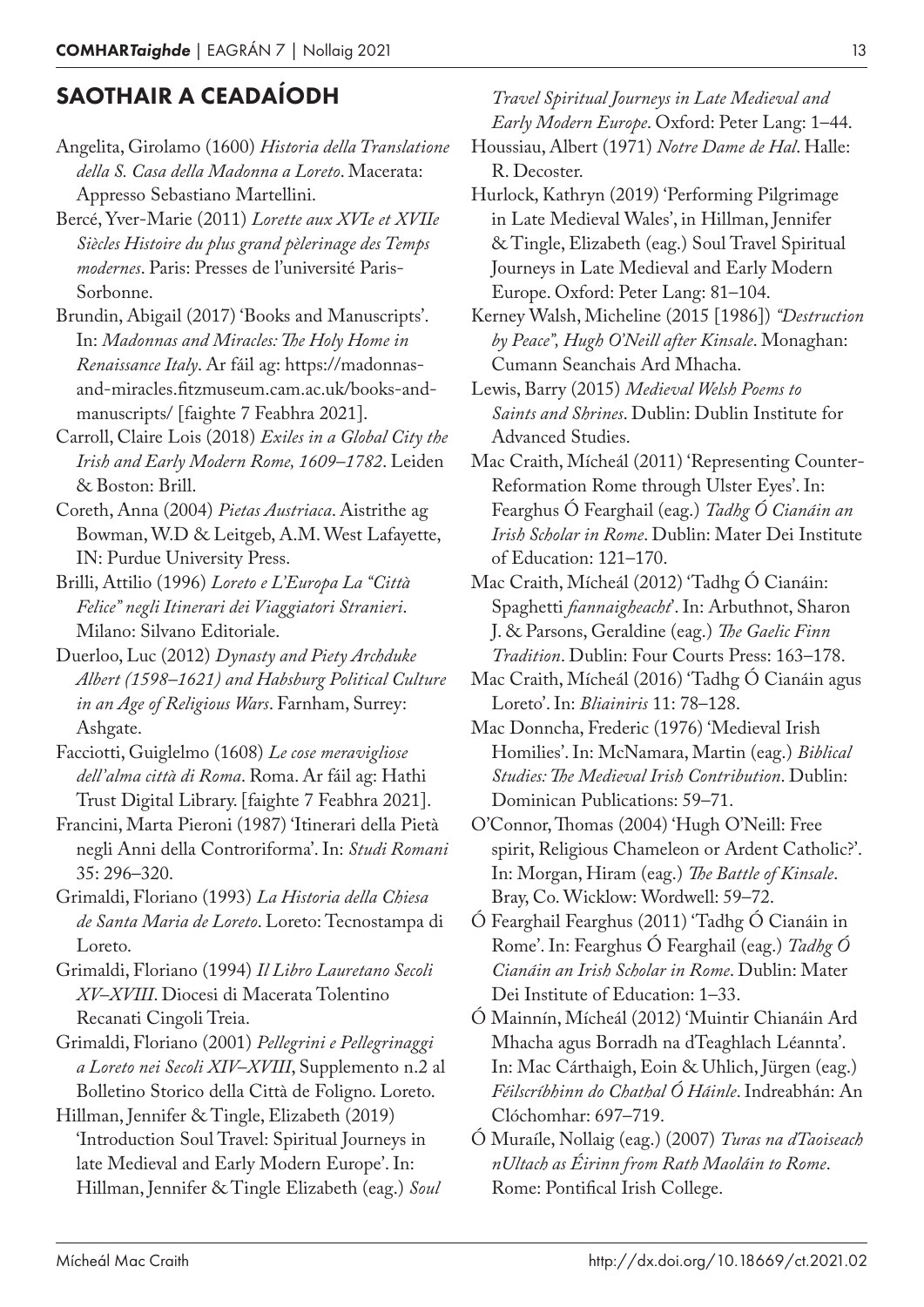## SAOTHAIR A CEADAÍODH

Angelita, Girolamo (1600) *Historia della Translatione della S. Casa della Madonna a Loreto*. Macerata: Appresso Sebastiano Martellini.

- Bercé, Yver-Marie (2011) *Lorette aux XVIe et XVIIe Siècles Histoire du plus grand pèlerinage des Temps modernes*. Paris: Presses de l'université Paris-Sorbonne.
- Brundin, Abigail (2017) 'Books and Manuscripts'. In: *Madonnas and Miracles: The Holy Home in Renaissance Italy*. Ar fáil ag: https://madonnasand-miracles.fitzmuseum.cam.ac.uk/books-andmanuscripts/ [faighte 7 Feabhra 2021].

Carroll, Claire Lois (2018) *Exiles in a Global City the Irish and Early Modern Rome, 1609–1782*. Leiden & Boston: Brill.

Coreth, Anna (2004) *Pietas Austriaca*. Aistrithe ag Bowman, W.D & Leitgeb, A.M. West Lafayette, IN: Purdue University Press.

Brilli, Attilio (1996) *Loreto e L'Europa La "Città Felice" negli Itinerari dei Viaggiatori Stranieri*. Milano: Silvano Editoriale.

- Duerloo, Luc (2012) *Dynasty and Piety Archduke Albert (1598–1621) and Habsburg Political Culture in an Age of Religious Wars*. Farnham, Surrey: Ashgate.
- Facciotti, Guiglelmo (1608) *Le cose meravigliose dell'alma città di Roma*. Roma. Ar fáil ag: Hathi Trust Digital Library. [faighte 7 Feabhra 2021].

Francini, Marta Pieroni (1987) 'Itinerari della Pietà negli Anni della Controriforma'. In: *Studi Romani* 35: 296–320.

Grimaldi, Floriano (1993) *La Historia della Chiesa de Santa Maria de Loreto*. Loreto: Tecnostampa di Loreto.

Grimaldi, Floriano (1994) *Il Libro Lauretano Secoli XV–XVIII*. Diocesi di Macerata Tolentino Recanati Cingoli Treia.

Grimaldi, Floriano (2001) *Pellegrini e Pellegrinaggi a Loreto nei Secoli XIV–XVIII*, Supplemento n.2 al Bolletino Storico della Città de Foligno. Loreto.

Hillman, Jennifer & Tingle, Elizabeth (2019) 'Introduction Soul Travel: Spiritual Journeys in late Medieval and Early Modern Europe'. In: Hillman, Jennifer & Tingle Elizabeth (eag.) *Soul* 

#### *Travel Spiritual Journeys in Late Medieval and Early Modern Europe*. Oxford: Peter Lang: 1–44.

Houssiau, Albert (1971) *Notre Dame de Hal*. Halle: R. Decoster.

- Hurlock, Kathryn (2019) 'Performing Pilgrimage in Late Medieval Wales', in Hillman, Jennifer & Tingle, Elizabeth (eag.) Soul Travel Spiritual Journeys in Late Medieval and Early Modern Europe. Oxford: Peter Lang: 81–104.
- Kerney Walsh, Micheline (2015 [1986]) *"Destruction by Peace", Hugh O'Neill after Kinsale*. Monaghan: Cumann Seanchais Ard Mhacha.

Lewis, Barry (2015) *Medieval Welsh Poems to Saints and Shrines*. Dublin: Dublin Institute for Advanced Studies.

- Mac Craith, Mícheál (2011) 'Representing Counter-Reformation Rome through Ulster Eyes'. In: Fearghus Ó Fearghail (eag.) *Tadhg Ó Cianáin an Irish Scholar in Rome*. Dublin: Mater Dei Institute of Education: 121–170.
- Mac Craith, Mícheál (2012) 'Tadhg Ó Cianáin: Spaghetti *fiannaigheacht*'. In: Arbuthnot, Sharon J. & Parsons, Geraldine (eag.) *The Gaelic Finn Tradition*. Dublin: Four Courts Press: 163–178.
- Mac Craith, Mícheál (2016) 'Tadhg Ó Cianáin agus Loreto'. In: *Bliainiris* 11: 78–128.
- Mac Donncha, Frederic (1976) 'Medieval Irish Homilies'. In: McNamara, Martin (eag.) *Biblical Studies: The Medieval Irish Contribution*. Dublin: Dominican Publications: 59–71.
- O'Connor, Thomas (2004) 'Hugh O'Neill: Free spirit, Religious Chameleon or Ardent Catholic?'. In: Morgan, Hiram (eag.) *The Battle of Kinsale*. Bray, Co. Wicklow: Wordwell: 59–72.
- Ó Fearghail Fearghus (2011) 'Tadhg Ó Cianáin in Rome'. In: Fearghus Ó Fearghail (eag.) *Tadhg Ó Cianáin an Irish Scholar in Rome*. Dublin: Mater Dei Institute of Education: 1–33.
- Ó Mainnín, Mícheál (2012) 'Muintir Chianáin Ard Mhacha agus Borradh na dTeaghlach Léannta'. In: Mac Cárthaigh, Eoin & Uhlich, Jürgen (eag.) *Féilscríbhinn do Chathal Ó Háinle*. Indreabhán: An Clóchomhar: 697–719.
- Ó Muraíle, Nollaig (eag.) (2007) *Turas na dTaoiseach nUltach as Éirinn from Rath Maoláin to Rome*. Rome: Pontifical Irish College.